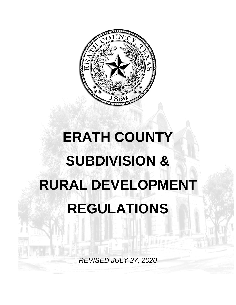

# **ERATH COUNTY SUBDIVISION & RURAL DEVELOPMENT REGULATIONS**

*REVISED JULY 27, 2020*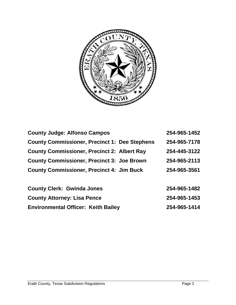

| <b>County Judge: Alfonso Campos</b>                  | 254-965-1452 |
|------------------------------------------------------|--------------|
| <b>County Commissioner, Precinct 1: Dee Stephens</b> | 254-965-7178 |
| <b>County Commissioner, Precinct 2: Albert Ray</b>   | 254-445-3122 |
| <b>County Commissioner, Precinct 3: Joe Brown</b>    | 254-965-2113 |
| <b>County Commissioner, Precinct 4: Jim Buck</b>     | 254-965-3561 |
|                                                      |              |

| <b>County Clerk: Gwinda Jones</b>          | 254-965-1482 |
|--------------------------------------------|--------------|
| <b>County Attorney: Lisa Pence</b>         | 254-965-1453 |
| <b>Environmental Officer: Keith Bailey</b> | 254-965-1414 |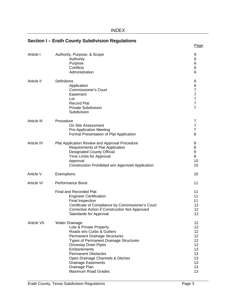|                   | Section I – Erath County Subdivision Regulations                                                                                                                                                                                                                                                                                                            |                                                                      |
|-------------------|-------------------------------------------------------------------------------------------------------------------------------------------------------------------------------------------------------------------------------------------------------------------------------------------------------------------------------------------------------------|----------------------------------------------------------------------|
|                   |                                                                                                                                                                                                                                                                                                                                                             | Page                                                                 |
| Article I         | Authority, Purpose, & Scope<br>Authority<br>Purpose<br>Conflicts<br>Administration                                                                                                                                                                                                                                                                          | 6<br>6<br>6<br>6<br>6                                                |
| Article II        | Definitions<br>Application<br><b>Commissioner's Court</b><br>Easement<br>Lot<br><b>Record Plat</b><br><b>Private Subdivision</b><br>Subdivision                                                                                                                                                                                                             | 6<br>6<br>7<br>7<br>$\overline{7}$<br>7<br>$\overline{7}$            |
| Article III       | Procedure<br>On Site Assessment<br><b>Pre-Application Meeting</b><br>Formal Presentation of Plat Application                                                                                                                                                                                                                                                | 7<br>$\overline{7}$<br>$\overline{7}$<br>8                           |
| Article IV        | Plat Application Review and Approval Procedure<br>Requirements of Plat Application<br><b>Designated County Official</b><br>Time Limits for Approval<br>Approval<br>Construction Prohibited w/o Approved Application                                                                                                                                         | 8<br>8<br>9<br>9<br>10<br>10                                         |
| Article V         | Exemptions                                                                                                                                                                                                                                                                                                                                                  | 10                                                                   |
| <b>Article VI</b> | Performance Bond                                                                                                                                                                                                                                                                                                                                            | 11                                                                   |
|                   | <b>Final and Recorded Plat</b><br><b>Engineer Certification</b><br>Final Inspection<br>Certificate of Compliance by Commissioner's Court<br>Corrective Action if Construction Not Approved<br><b>Standards for Approval</b>                                                                                                                                 | 11<br>11<br>11<br>12<br>12<br>12                                     |
| Article VII       | <b>Water Drainage</b><br>Lots & Private Property<br>Roads w/o Curbs & Gutters<br><b>Permanent Drainage Structures</b><br><b>Types of Permanent Drainage Structures</b><br>Driveway Drain Pipes<br>Embankments<br><b>Permanent Obstacles</b><br>Open Drainage Channels & Ditches<br><b>Drainage Easements</b><br>Drainage Plan<br><b>Maximum Road Grades</b> | 12<br>12<br>12<br>12<br>12<br>12<br>13<br>13<br>13<br>13<br>13<br>13 |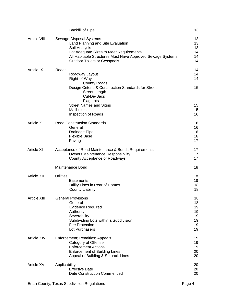|                     | <b>Backfill of Pipe</b>                                                                                                                                                                                                       | 13                                           |
|---------------------|-------------------------------------------------------------------------------------------------------------------------------------------------------------------------------------------------------------------------------|----------------------------------------------|
| <b>Article VIII</b> | Sewage Disposal Systems<br>Land Planning and Site Evaluation<br>Soil Analysis<br>Lot Adequate Sizes to Meet Requirements<br>All Habitable Structures Must Have Approved Sewage Systems<br><b>Outdoor Toilets or Cesspools</b> | 13<br>13<br>13<br>14<br>14<br>14             |
| Article IX          | Roads<br>Roadway Layout<br>Right-of-Way<br><b>County Roads</b>                                                                                                                                                                | 14<br>14<br>14                               |
|                     | Design Criteria & Construction Standards for Streets<br><b>Street Length</b><br>Cul-De-Sacs<br>Flag Lots                                                                                                                      | 15                                           |
|                     | <b>Street Names and Signs</b><br>Mailboxes<br>Inspection of Roads                                                                                                                                                             | 15<br>15<br>16                               |
| Article X           | <b>Road Construction Standards</b><br>General<br>Drainage Pipe<br><b>Flexible Base</b><br>Paving                                                                                                                              | 16<br>16<br>16<br>16<br>17                   |
| <b>Article XI</b>   | Acceptance of Road Maintenance & Bonds Requirements<br><b>Owners Maintenance Responsibility</b><br>County Acceptance of Roadways                                                                                              | 17<br>17<br>17                               |
|                     | Maintenance Bond                                                                                                                                                                                                              | 18                                           |
| <b>Article XII</b>  | <b>Utilities</b><br>Easements<br>Utility Lines in Rear of Homes<br><b>County Liability</b>                                                                                                                                    | 18<br>18<br>18<br>18                         |
| <b>Article XIII</b> | <b>General Provisions</b><br>General<br><b>Evidence Required</b><br>Authority<br>Severability<br>Subdividing Lots within a Subdivision<br><b>Fire Protection</b><br>Lot Purchasers                                            | 18<br>18<br>19<br>19<br>19<br>19<br>19<br>19 |
| Article XIV         | Enforcement; Penalties; Appeals<br>Category of Offense<br><b>Enforcement Actions</b><br><b>Enforcement of Building Lines</b><br>Appeal of Building & Setback Lines                                                            | 19<br>19<br>19<br>20<br>20                   |
| <b>Article XV</b>   | Applicability<br><b>Effective Date</b><br><b>Date Construction Commenced</b>                                                                                                                                                  | 20<br>20<br>20                               |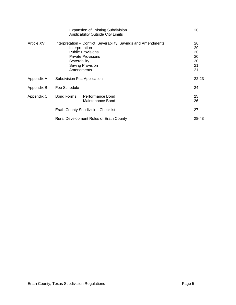|             | <b>Expansion of Existing Subdivision</b><br><b>Applicability Outside City Limits</b>                                                                                                         | 20                                     |
|-------------|----------------------------------------------------------------------------------------------------------------------------------------------------------------------------------------------|----------------------------------------|
| Article XVI | Interpretation – Conflict, Severability, Savings and Amendments<br>Interpretation<br><b>Public Provisions</b><br><b>Private Provisions</b><br>Severability<br>Saving Provision<br>Amendments | 20<br>20<br>20<br>20<br>20<br>21<br>21 |
| Appendix A  | Subdivision Plat Application                                                                                                                                                                 | 22-23                                  |
| Appendix B  | Fee Schedule                                                                                                                                                                                 | 24                                     |
| Appendix C  | Bond Forms:<br>Performance Bond<br>Maintenance Bond                                                                                                                                          | 25<br>26                               |
|             | <b>Erath County Subdivision Checklist</b>                                                                                                                                                    | 27                                     |
|             | <b>Rural Development Rules of Erath County</b>                                                                                                                                               | 28-43                                  |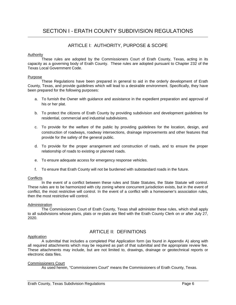# ARTICLE I: AUTHORITY, PURPOSE & SCOPE

#### **Authority**

These rules are adopted by the Commissioners Court of Erath County, Texas, acting in its capacity as a governing body of Erath County. These rules are adopted pursuant to Chapter 232 of the Texas Local Government Code.

#### Purpose

These Regulations have been prepared in general to aid in the orderly development of Erath County, Texas, and provide guidelines which will lead to a desirable environment. Specifically, they have been prepared for the following purposes:

- a. To furnish the Owner with guidance and assistance in the expedient preparation and approval of his or her plat.
- b. To protect the citizens of Erath County by providing subdivision and development guidelines for residential, commercial and industrial subdivisions.
- c. To provide for the welfare of the public by providing guidelines for the location, design, and construction of roadways, roadway intersections, drainage improvements and other features that provide for the safety of the general public.
- d. To provide for the proper arrangement and construction of roads, and to ensure the proper relationship of roads to existing or planned roads.
- e. To ensure adequate access for emergency response vehicles.
- f. To ensure that Erath County will not be burdened with substandard roads in the future.

#### **Conflicts**

In the event of a conflict between these rules and State Statutes, the State Statute will control. These rules are to be harmonized with city zoning where concurrent jurisdiction exists, but in the event of conflict, the most restrictive will control. In the event of a conflict with a homeowner's association rules, then the most restrictive will control.

#### Administration

The Commissioners Court of Erath County, Texas shall administer these rules, which shall apply to all subdivisions whose plans, plats or re-plats are filed with the Erath County Clerk on or after July 27, 2020.

# ARTICLE II: DEFINITIONS

#### Application

A submittal that includes a completed Plat Application form (as found in Appendix A) along with all required attachments which may be required as part of that submittal and the appropriate review fee. These attachments may include, but are not limited to, drawings, drainage or geotechnical reports or electronic data files.

#### Commissioners Court

As used herein, "Commissioners Court" means the Commissioners of Erath County, Texas.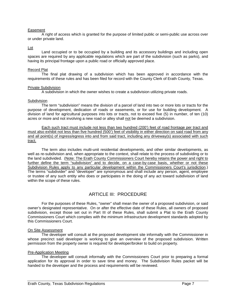#### Easement

A right of access which is granted for the purpose of limited public or semi-public use across over or under private land.

#### Lot

Land occupied or to be occupied by a building and its accessory buildings and including open spaces are required by any applicable regulations which are part of the subdivision (such as parks), and having its principal frontage upon a public road or officially approved place.

#### Record Plat

The final plat drawing of a subdivision which has been approved in accordance with the requirements of these rules and has been filed for record with the County Clerk of Erath County, Texas.

#### Private Subdivision

A subdivision in which the owner wishes to create a subdivision utilizing private roads.

#### Subdivision

The term "subdivision" means the division of a parcel of land into two or more lots or tracts for the purpose of development, dedication of roads or easements, or for use for building development. A division of land for agricultural purposes into lots or tracts, not to exceed five (5) in number, of ten (10) acres or more and not involving a new road or alley shall not be deemed a subdivision.

Each such tract must include not less than two hundred (200') feet of road frontage per tract and must also exhibit not less than five hundred (500') feet of visibility in either direction on said road from any and all point(s) of ingress/egress into and from said tract, including any driveway(s) associated with such tract.

The term also includes multi-unit residential developments, and other similar developments, as well as re-subdivision and, when appropriate to the context, shall relate to the process of subdividing or to the land subdivided. (Note: The Erath County Commissioners Court hereby retains the power and right to further define the term "subdivision" and to decide, on a case-by-case basis, whether or not these Subdivision Rules apply to any particular development within the Commissioners Court's jurisdiction.) The terms "subdivider" and "developer" are synonymous and shall include any person, agent, employee or trustee of any such entity who does or participates in the doing of any act toward subdivision of land within the scope of these rules.

# ARTICLE III: PROCEDURE

For the purposes of these Rules, "owner" shall mean the owner of a proposed subdivision, or said owner's designated representative. On or after the effective date of these Rules, all owners of proposed subdivision, except those set out in Part III of these Rules, shall submit a Plat to the Erath County Commissioners Court which complies with the minimum infrastructure development standards adopted by this Commissioners Court.

#### On Site Assessment

The developer will consult at the proposed development site informally with the Commissioner in whose precinct said developer is working to give an overview of the proposed subdivision. Written permission from the property owner is required for developer/broker to build on property.

#### Pre-Application Meeting

The developer will consult informally with the Commissioners Court prior to preparing a formal application for its approval in order to save time and money. The Subdivision Rules packet will be handed to the developer and the process and requirements will be reviewed.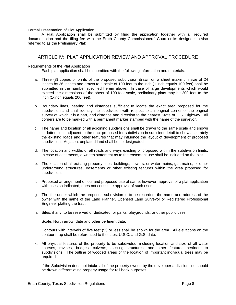#### Formal Presentation of Plat Application

A Plat Application shall be submitted by filing the application together with all required documentation and the filing fee with the Erath County Commissioners' Court or its designee. (Also referred to as the Preliminary Plat).

# ARTICLE IV: PLAT APPLICATION REVIEW AND APPROVAL PROCEDURE

#### Requirements of the Plat Application

Each plat application shall be submitted with the following information and materials:

- a. Three (3) copies or prints of the proposed subdivision drawn on a sheet maximum size of 24 inches by 36 inches and drawn to a scale of 100 feet to the inch (1-inch equals 100 feet) shall be submitted in the number specified herein above. In case of large developments which would exceed the dimensions of the sheet of 100-foot scale, preliminary plats may be 200 feet to the inch (1-inch equals 200 feet).
- b. Boundary lines, bearing and distances sufficient to locate the exact area proposed for the subdivision and shall identify the subdivision with respect to an original corner of the original survey of which it is a part, and distance and direction to the nearest State or U.S. Highway. All corners are to be marked with a permanent marker stamped with the name of the surveyor.
- c. The name and location of all adjoining subdivisions shall be drawn to the same scale and shown in dotted lines adjacent to the tract proposed for subdivision in sufficient detail to show accurately the existing roads and other features that may influence the layout of development of proposed subdivision. Adjacent unplatted land shall be so designated.
- d. The location and widths of all roads and ways existing or proposed within the subdivision limits. In case of easements, a written statement as to the easement use shall be included on the plat.
- e. The location of all existing property lines, buildings, sewers, or water mains, gas mains, or other underground structures, easements or other existing features within the area proposed for subdivision.
- f. Proposed arrangement of lots and proposed use of same; however, approval of a plat application with uses so indicated, does not constitute approval of such uses.
- g. The title under which the proposed subdivision is to be recorded, the name and address of the owner with the name of the Land Planner, Licensed Land Surveyor or Registered Professional Engineer platting the tract.
- h. Sites, if any, to be reserved or dedicated for parks, playgrounds, or other public uses.
- i. Scale, North arrow, date and other pertinent data.
- j. Contours with intervals of five feet (5') or less shall be shown for the area. All elevations on the contour map shall be referenced to the latest U.S.C. and G.S. data.
- k. All physical features of the property to be subdivided, including location and size of all water courses, ravines, bridges, culverts, existing structures, and other features pertinent to subdivisions. The outline of wooded areas or the location of important individual trees may be required.
- l. If the Subdivision does not intake all of the property owned by the developer a division line should be drawn differentiating property usage for roll back purposes.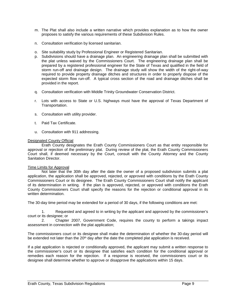- m. The Plat shall also include a written narrative which provides explanation as to how the owner proposes to satisfy the various requirements of these Subdivision Rules.
- n. Consultation verification by licensed sanitarian.
- o. Site suitability study by Professional Engineer or Registered Sanitarian.
- p. Subdivisions should have a drainage plan. An engineering drainage plan shall be submitted with the plat unless waived by the Commissioners Court. The engineering drainage plan shall be prepared by a registered professional engineer for the State of Texas and qualified in the field of storm run-off and drainage design. The drainage study will show the width of the right-of-way required to provide property drainage ditches and structures in order to properly dispose of the expected storm flow run-off. A typical cross section of the road and drainage ditches shall be provided in the report.
- q. Consultation verification with Middle Trinity Groundwater Conservation District.
- r. Lots with access to State or U.S. highways must have the approval of Texas Department of Transportation.
- s. Consultation with utility provider.
- t. Paid Tax Certificate.
- u. Consultation with 911 addressing.

## Designated County Official

Erath County designates the Erath County Commissioners Court as that entity responsible for approval or rejection of the preliminary plat. During review of the plat, the Erath County Commissioners Court shall, if deemed necessary by the Court, consult with the County Attorney and the County Sanitation Director.

#### Time Limits for Approval

Not later that the 30th day after the date the owner of a proposed subdivision submits a plat application, the application shall be approved, rejected, or approved with conditions by the Erath County Commissioners Court or its designee. The Erath County Commissioners Court shall notify the applicant of its determination in writing. If the plan is approved, rejected, or approved with conditions the Erath County Commissioners Court shall specify the reasons for the rejection or conditional approval in its written determination.

The 30-day time period may be extended for a period of 30 days, if the following conditions are met:

1. Requested and agreed to in writing by the applicant and approved by the commissioner's court or its designee; or

2. Chapter 2007, Government Code, requires the county to perform a takings impact assessment in connection with the plat application;

The commissioners court or its designee shall make the determination of whether the 30-day period will be extended not later than the 20<sup>th</sup> day after the date the completed plat application is received.

If a plat application is rejected or conditionally approved, the applicant may submit a written response to the commissioner's court or its designee that satisfies each condition for the conditional approval or remedies each reason for the rejection. If a response is received, the commissioners court or its designee shall determine whether to approve or disapprove the applications within 15 days.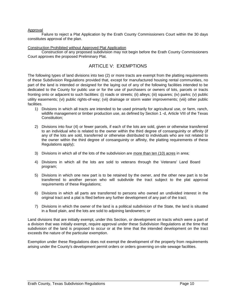#### Approval

Failure to reject a Plat Application by the Erath County Commissioners Court within the 30 days constitutes approval of the plan.

#### Construction Prohibited without Approved Plat Application

Construction of any proposed subdivision may not begin before the Erath County Commissioners Court approves the proposed Preliminary Plat.

# ARTICLE V: EXEMPTIONS

The following types of land divisions into two (2) or more tracts are exempt from the platting requirements of these Subdivision Regulations provided that, except for manufactured housing rental communities, no part of the land is intended or designed for the laying out of any of the following facilities intended to be dedicated to the County for public use or for the use of purchasers or owners of lots, parcels or tracts fronting onto or adjacent to such facilities: (i) roads or streets; (ii) alleys; (iii) squares; (iv) parks; (v) public utility easements; (vi) public rights-of-way; (vii) drainage or storm water improvements; (viii) other public facilities.

- 1) Divisions in which all tracts are intended to be used primarily for agricultural use, or farm, ranch, wildlife management or timber production use, as defined by Section 1 -d, Article VIII of the Texas Constitution;
- 2) Divisions into four (4) or fewer parcels, if each of the lots are sold, given or otherwise transferred to an individual who is related to the owner within the third degree of consanguinity or affinity (if any of the lots are sold, transferred or otherwise distributed to individuals who are not related to the owner within the third degree of consanguinity or affinity, the platting requirements of these Regulations apply);
- 3) Divisions in which all of the lots of the subdivision are more than ten (10) acres in area;
- 4) Divisions in which all the lots are sold to veterans through the Veterans' Land Board program;
- 5) Divisions in which one new part is to be retained by the owner, and the other new part is to be transferred to another person who will subdivide the tract subject to the plat approval requirements of these Regulations;
- 6) Divisions in which all parts are transferred to persons who owned an undivided interest in the original tract and a plat is filed before any further development of any part of the tract;
- 7) Divisions in which the owner of the land is a political subdivision of the State, the land is situated in a flood plain, and the lots are sold to adjoining landowners; or

Land divisions that are initially exempt, under this Section, or development on tracts which were a part of a division that was initially exempt, require approval under these Subdivision Regulations at the time that subdivision of the land is proposed to occur or at the time that the intended development on the tract exceeds the nature of the particular exemption.

Exemption under these Regulations does not exempt the development of the property from requirements arising under the County's development permit orders or orders governing on-site sewage facilities.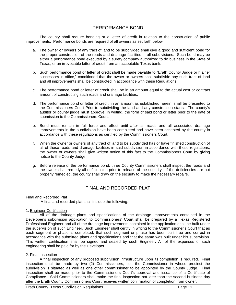# PERFORMANCE BOND

The county shall require bonding or a letter of credit in relation to the construction of public improvements. Performance bonds are required of all owners as set forth below.

- a. The owner or owners of any tract of land to be subdivided shall give a good and sufficient bond for the proper construction of the roads and drainage facilities in all subdivisions. Such bond may be either a performance bond executed by a surety company authorized to do business in the State of Texas, or an irrevocable letter of credit from an acceptable Texas bank.
- b. Such performance bond or letter of credit shall be made payable to "Erath County Judge or his/her successors in office," conditioned that the owner or owners shall subdivide any such tract of land and all improvements shall be constructed in accordance with these Regulations.
- c. The performance bond or letter of credit shall be in an amount equal to the actual cost or contract amount of constructing such roads and drainage facilities.
- d. The performance bond or letter of credit, in an amount as established herein, shall be presented to the Commissioners Court Prior to subdividing the land and any construction starts. The county's auditor or county judge must approve, in writing, the form of said bond or letter prior to the date of submission to the Commissioners Court.
- e. Bond must remain in full force and effect until after all roads and all associated drainage improvements in the subdivision have been completed and have been accepted by the county in accordance with these regulations as certified by the Commissioners Court.
- f. When the owner or owners of any tract of land to be subdivided has or have finished construction of all of these roads and drainage facilities in said subdivision in accordance with these regulations, the owner or owners shall give written notice of this fact to the Commissioners Court by giving notice to the County Judge.
- g. Before release of the performance bond, three County Commissioners shall inspect the roads and the owner shall remedy all deficiencies prior to release of the security. If the deficiencies are not properly remedied, the county shall draw on the security to make the necessary repairs.

# FINAL AND RECORDED PLAT

#### Final and Recorded Plat

A final and recorded plat shall include the following:

#### 1. Engineer Certification

All of the drainage plans and specifications of the drainage improvements contained in the Developer's subdivision application to Commissioners' Court shall be prepared by a Texas Registered Professional Engineer and all of the drainage improvements contained in the application shall be built under the supervision of such Engineer. Such Engineer shall certify in writing to the Commissioner's Court that as each segment or phase is completed, that such segment or phase has been built true and correct in accordance with the submitted plans and specifications and that the same was built under his supervision. This written certification shall be signed and sealed by such Engineer. All of the expenses of such engineering shall be paid for by the Developer.

#### 2. Final Inspection

A final inspection of any proposed subdivision infrastructure upon its completion is required. Final inspection shall be made by two (2) Commissioners, i.e., the Commissioner in whose precinct the subdivision is situated as well as one other commissioner to be appointed by the County Judge. Final inspection shall be made prior to the Commissioners Court's approval and issuance of a Certificate of Compliance. Said Commissioners shall make the final inspection not later than the second business day after the Erath County Commissioners Court receives written confirmation of completion from owner.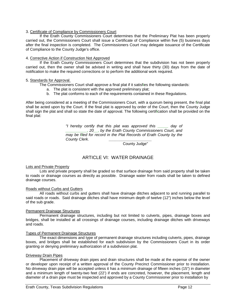#### 3. Certificate of Compliance by Commissioners Court

If the Erath County Commissioners Court determines that the Preliminary Plat has been properly carried out, the Commissioners Court shall issue a Certificate of Compliance within five (5) business days after the final inspection is completed. The Commissioners Court may delegate issuance of the Certificate of Compliance to the County Judge's office.

#### 4. Corrective Action if Construction Not Approved

If the Erath County Commissioners Court determines that the subdivision has not been properly carried out, then the owner shall be advised in writing and shall have thirty (30) days from the date of notification to make the required corrections or to perform the additional work required.

#### 5. Standards for Approval.

The Commissioners Court shall approve a final plat if it satisfies the following standards:

- a. The plat is consistent with the approved preliminary plat;
- b. The plat conforms to each of the requirements contained in these Regulations.

After being considered at a meeting of the Commissioners Court, with a quorum being present, the final plat shall be acted upon by the Court. If the final plat is approved by order of the Court, then the County Judge shall sign the plat and shall so state the date of approval. The following certification shall be provided on the final plat:

> *"I hereby certify that this plat was approved this \_\_\_\_\_ day of \_\_\_\_\_\_\_\_\_\_, 20\_\_, by the Erath County Commissioners Court, and may be filed for record in the Plat Records of Erath County by the County Clerk. \_\_\_\_\_\_\_\_\_\_\_\_\_\_\_\_\_\_\_\_*

County Judge"

# ARTICLE VI: WATER DRAINAGE

#### Lots and Private Property

Lots and private property shall be graded so that surface drainage from said property shall be taken to roads or drainage courses as directly as possible. Drainage water from roads shall be taken to defined drainage courses.

#### Roads without Curbs and Gutters

All roads without curbs and gutters shall have drainage ditches adjacent to and running parallel to said roads or roads. Said drainage ditches shall have minimum depth of twelve (12") inches below the level of the sub grade.

#### Permanent Drainage Structures

Permanent drainage structures, including but not limited to culverts, pipes, drainage boxes and bridges, shall be installed at all crossings of drainage courses, including drainage ditches with driveways and roads.

#### Types of Permanent Drainage Structures

The exact dimensions and type of permanent drainage structures including culverts, pipes, drainage boxes, and bridges shall be established for each subdivision by the Commissioners Court in its order granting or denying preliminary authorization of a subdivision plat.

#### Driveway Drain Pipes

Placement of driveway drain pipes and drain structures shall be made at the expense of the owner or developer upon receipt of a written approval of the County Precinct Commissioner prior to installation. No driveway drain pipe will be accepted unless it has a minimum drainage of fifteen inches (15") in diameter and a minimum length of twenty-two feet (22') if ends are concreted, however, the placement, length and diameter of a drain pipe must be inspected and approved by a County Commissioner prior to installation by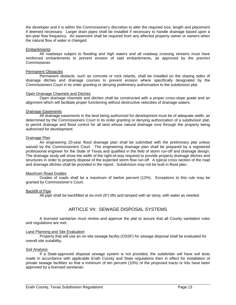the developer and it is within the Commissioner's discretion to alter the required size, length and placement if deemed necessary. Larger drain pipes shall be installed if necessary to handle drainage based upon a ten-year flow frequency. An easement shall be required from any affected property owner or owners when the natural flow of water is changed.

#### **Embankments**

All roadways subject to flooding and high waters and all roadway crossing streams must have reinforced embankments to prevent erosion of said embankments, as approved by the precinct Commissioner.

#### Permanent Obstacles

Permanent obstacle, such as concrete or rock retards, shall be installed on the sloping sides of drainage ditches and drainage courses to prevent erosion where specifically designated by the Commissioners Court in its order granting or denying preliminary authorization to the subdivision plat.

#### Open Drainage Channels and Ditches

Open drainage channels and ditches shall be constructed with a proper cross-slope grade and an alignment which will facilitate proper functioning without destructive velocities of drainage waters.

#### Drainage Easements

All drainage easements in the land being authorized for development must be of adequate width, as determined by the Commissioners Court in its order granting or denying authorization of a subdivision plat, to permit drainage and flood control for all land whose natural drainage runs through the property being authorized for development.

#### Drainage Plan

An engineering 20-year flood drainage plan shall be submitted with the preliminary plat unless waived by the Commissioners Court. The engineering drainage plan shall be prepared by a registered professional engineer for the State of Texas and qualified in the field of storm run-off and drainage design. The drainage study will show the width of the right-of-way required to provide property drainage ditches and structures in order to properly dispose of the expected storm flow run-off. A typical cross section of the road and drainage ditches shall be provided in the report. Subdivision may not be built in flood plan.

#### Maximum Road Grades

Grades of roads shall be a maximum of twelve percent (12%). Exceptions to this rule may be granted by Commissioner's Court.

#### Backfill of Pipe

All pipe shall be backfilled at six-inch (6") lifts and tamped with air tamp, with water as needed.

# ARTICLE VII: SEWAGE DISPOSAL SYSTEMS

A licensed sanitarian must review and approve the plat to assure that all County sanitation rules and regulations are met.

#### Land Planning and Site Evaluation

Property that will use an on-site sewage facility (OSSF) for sewage disposal shall be evaluated for overall site suitability.

#### Soil Analysis

If a State-approved disposal sewage system is not provided, the subdivider will have soil tests made in accordance with applicable Erath County and State regulations then in effect for installation of private sewage facilities so that a minimum of ten percent (10%) of the proposed tracts or lots have been approved by a licensed sanitarian.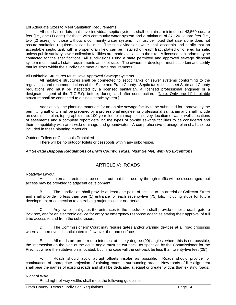#### Lot Adequate Sizes to Meet Sanitation Requirements

All subdivision lots that have individual septic systems shall contain a minimum of 43,560 square feet (i.e., one (1) acre) for those with community water system and a minimum of 87,120 square feet (i.e., two (2) acres) for those without a community water system. It must be noted that size alone does not assure sanitation requirement can be met. The sub divider or owner shall ascertain and certify that an acceptable septic tank with a proper drain field can be installed on each tract platted or offered for sale, unless public sanitary sewer collection facilities are made available to the site. A licensed sanitarian may be contacted for the specifications. All subdivisions using a state permitted and approved sewage disposal system must meet all state requirements as to lot size. The owners or developer must ascertain and certify that lot sizes within the subdivision meet all state requirements.

#### All Habitable Structures Must Have Approved Sewage Systems

All habitable structures shall be connected to septic tanks or sewer systems conforming to the regulations and recommendations of the State and Erath County. Septic tanks shall meet State and County regulations and must be inspected by a licensed sanitarian, a licensed professional engineer or a designated agent of the T.C.E.Q. before, during, and after construction. [Note: Only one (1) habitable structure shall be connected to a single septic system.]

Additionally, the planning materials for an on-site sewage facility to be submitted for approval by the permitting authority shall be prepared by a professional engineer or professional sanitarian and shall include an overall site plan, topographic map, 100-year floodplain map, soil survey, location of water wells, locations of easements and a complete report detailing the types of on-site sewage facilities to be considered and their compatibility with area-wide drainage and groundwater. A comprehensive drainage plan shall also be included in these planning materials.

#### Outdoor Toilets or Cesspools Prohibited

There will be no outdoor toilets or cesspools within any subdivision.

#### *All Sewage Disposal Regulations of Erath County, Texas, Must Be Met, With No Exceptions*

# ARTICLE V: ROADS

#### Roadway Layout

A. Internal streets shall be so laid out that their use by through traffic will be discouraged, but access may be provided to adjacent development.

B. The subdivision shall provide at least one point of access to an arterial or Collector Street and shall provide no less than one (1) entrance for each seventy-five (75) lots, including stubs for future development or connection to an existing major collector or arterial.

C. Any owner that gates the entrances to the subdivision shall provide either a crash gate, a lock box, and/or an electronic device for entry by emergency response agencies stating their approval of full time access to and from the subdivision.

D. The Commissioners' Court may require gates and/or warning devices at all road crossings where a storm event is anticipated to flow over the road surface

E. All roads are preferred to intersect at ninety-degree (90) angles; where this is not possible, the intersection on the side of the acute angle must be cut back, as specified by the Commissioner for the Precinct where the subdivision is located, but in no case will the cut-back be less than twenty-five feet (25').

F. Roads should avoid abrupt offsets insofar as possible. Roads should provide for continuation of appropriate projection of existing roads in surrounding areas. New roads of like alignment shall bear the names of existing roads and shall be dedicated at equal or greater widths than existing roads.

#### Right of Way

Road right-of-way widths shall meet the following guidelines: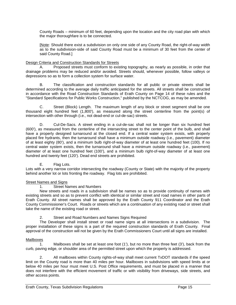County Roads – minimum of 60 feet, depending upon the location and the city road plan with which the major thoroughfare is to be connected.

[Note: Should there exist a subdivision on only one side of any County Road, the right-of-way width as to the subdivision-side of said County Road must be a minimum of 30 feet from the center of said County Road.]

#### Design Criteria and Construction Standards for Streets

A. Proposed streets must conform to existing topography, as nearly as possible, in order that drainage problems may be reduced and/or avoided. Streets should, whenever possible, follow valleys or depressions so as to form a collection system for surface water.

B. The classification and construction standards for all public or private streets shall be determined according to the average daily traffic anticipated for the streets. All streets shall be constructed in accordance with the Road Construction Standards of Erath County on Page 14 of these rules and the "Standard Specifications for Public Works Construction," published by the NCTCOG, as may be amended.

C. Street (Block) Length. The maximum length of any block or street segment shall be one thousand eight hundred feet (1,800'), as measured along the street centerline from the point(s) of intersection with other through (i.e., not dead-end or cul-de-sac) streets.

D. Cul-De-Sacs. A street ending in a cul-de-sac shall not be longer than six hundred feet (600'), as measured from the centerline of the intersecting street to the center point of the bulb, and shall have a properly designed turnaround at the closed end. If a central water system exists, with properly placed fire hydrants, then the turnaround shall have a minimum outside roadway (i.e., pavement) diameter of at least eighty (80'), and a minimum bulb right-of-way diameter of at least one hundred feet (100). If no central water system exists, then the turnaround shall have a minimum outside roadway (i.e., pavement) diameter of at least one hundred feet (100'), and a minimum bulb right-of-way diameter of at least one hundred and twenty feet (120'). Dead end streets are prohibited.

E. Flag Lots.

Lots with a very narrow corridor intersecting the roadway (County or State) with the majority of the property behind another lot or lots fronting the roadway. Flag lots are prohibited.

#### Street Names and Signs

1. Street Names and Numbers

New streets and roads in a subdivision shall be names so as to provide continuity of names with existing streets and so as to prevent conflict with identical or similar street and road names in other parts of Erath County. All street names shall be approved by the Erath County 911 Coordinator and the Erath County Commissioner's Court. Roads or streets which are a continuation of any existing road or street shall take the name of the existing road or street.

2. Street and Road Numbers and Names Signs Required

The Developer shall install street or road name signs at all intersections in a subdivision. The proper installation of these signs is a part of the required construction standards of Erath County. Final approval of the construction will not be given by the Erath Commissioners Court until all signs are installed.

#### Mailboxes

 1. Mailboxes shall be set at least one foot (1'), but no more than three feet (3'), back from the curb, paving edge, or shoulder area of the permitted street upon which the property is addressed.

2. All mailboxes within County rights-of-way shall meet current TxDOT standards if the speed limit on the County road is more than 40 miles per hour. Mailboxes in subdivisions with speed limits at or below 40 miles per hour must meet U.S. Post Office requirements, and must be placed in a manner that does not interfere with the efficient movement of traffic or with visibility from driveways, side streets, and other access points.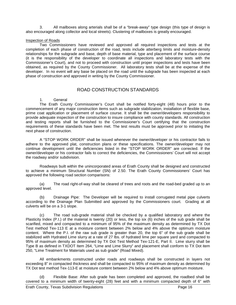3. All mailboxes along arterials shall be of a "break-away" type design (this type of design is also encouraged along collector and local streets). Clustering of mailboxes is greatly encouraged.

#### Inspection of Roads

Two Commissioners have reviewed and approved all required inspections and tests at the completion of each phase of construction of the road, tests include atterberg limits and moisture-density relationships for the subgrade and base, depth of base material, type and placement of the surface course (it is the responsibility of the developer to coordinate all inspections and laboratory tests with the Commissioner's Court), and not to proceed with construction until proper inspections and tests have been obtained, as required by the County Commissioner. All laboratory tests shall be at the expense of the developer. In no event will any base be placed on the road until the subgrade has been inspected at each phase of construction and approved in writing by the County Commissioner.

# ROAD CONSTRUCTION STANDARDS

#### 1. General

The Erath County Commissioner's Court shall be notified forty-eight (48) hours prior to the commencement of any major construction items such as subgrade stabilization, installation of flexible base, prime coat application or placement of surface course. It shall be the owner/developers responsibility to provide adequate inspection of the construction to insure compliance with county standards. All construction and testing reports shall be furnished to the Commissioner's Court certifying that the construction requirements of these standards have been met. The test results must be approved prior to initiating the next phase of construction.

A "STOP WORK ORDER" shall be issued whenever the owner/developer or his contractor fails to adhere to the approved plat, construction plans or these specifications. The owner/developer may not continue development until the deficiencies listed in the "STOP WORK ORDER" are corrected. If the owner/developer or his contractor fails to correct the deficiencies, the Commissioners' Court will not accept the roadway and/or subdivision.

Roadways built within the unincorporated areas of Erath County shall be designed and constructed to achieve a minimum Structural Number (SN) of 2.50. The Erath County Commissioners' Court has approved the following road section comparisons:

(a) The road right-of-way shall be cleared of trees and roots and the road-bed graded up to an approved level.

(b) Drainage Pipe: The Developer will be required to install corrugated metal pipe culverts according to the Drainage Plan Submitted and approved by the Commissioners court. Grading at all culverts will be on a 3-1 slope.

(c) The road sub-grade material shall be checked by a qualified laboratory and where the Plasticity Index (P.I.) of the material is twenty (20) or less, the top six (6) inches of the sub grade shall be scarified, mixed and compacted to a minimum of 95% of the maximum density as determined by TX Dot Test method Tex-113 E at a moisture content between 2% below and 4% above the optimum moisture content. Where the P.I. of the raw sub grade is greater than 20, the top 6" of the sub grade shall be stabilized with Hydrated Lime slurry at a rate of 27 lbs. of hydrated lime per square yard and compacted to 95% of maximum density as determined by TX Dot Test Method Tex-121-E, Part II. Lime slurry shall be Type B as defined in TXDOT Item 264, "Lime and Lime Slurry" and placement shall conform to TX Dot item 250, "Lime Treatment for Materials used as sub grade" (Road Mixed).

All embankments constructed under roads and roadways shall be constructed in layers not exceeding 8" in compacted thickness and shall be compacted to 95% of maximum density as determined by TX Dot test method Tex-113-E at moisture content between 2% below and 4% above optimum moisture.

(d) Flexible Base: After sub grade has been completed and approved, the roadbed shall be covered to a minimum width of twenty-eight (28) feet and with a minimum compacted depth of 6" with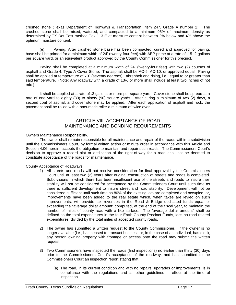crushed stone (Texas Department of Highways & Transportation, Item 247, Grade A number 2). The crushed stone shall be mixed, watered, and compacted to a minimum 95% of maximum density as determined by TX Dot Test method Tex-113-E at moisture content between 2% below and 4% above the optimum moisture content.

(e) Paving: After crushed stone base has been compacted, cured and approved for paving, base shall be primed for a minimum width of 24' (twenty-four feet) with AEP prime at a rate of .15-.2 gallons per square yard, or an equivalent product approved by the County Commissioner for this precinct.

Paving shall be completed at a minimum width of 24' (twenty-four feet) with two (2) courses of asphalt and Grade 4, Type A Cover Stone. The asphalt shall be AC-5, AC-10, or approved equal. Paving shall be applied at temperature of 70º (seventy degrees) Fahrenheit and rising, i.e., equal to or greater than said temperature. (Note: Any roadway with a grade of 13% or more shall include at least two inches of hot mix.)

It shall be applied at a rate of .3 gallons or more per square yard. Cover stone shall be spread at a rate of one yard to eighty (80) to ninety (90) square yards. After curing a minimum of two (2) days, a second coat of asphalt and cover stone may be applied. After each application of asphalt and rock, the pavement shall be rolled with a pneumatic roller a minimum of twice over.

# ARTICLE VIII: ACCEPTANCE OF ROAD MAINTENANCE AND BONDING REQUIREMENTS

#### Owners Maintenance Responsibility.

The owner shall remain responsible for all maintenance and repair of the roads within a subdivision until the Commissioners Court, by formal written action or minute order in accordance with this Article and Section 4.06 herein, accepts the obligation to maintain and repair such roads. The Commissioners Court's decision to approve a record plat or dedication of the right-of-way for a road shall not be deemed to constitute acceptance of the roads for maintenance.

#### County Acceptance of Roadways

- 1) All streets and roads will not receive consideration for final approval by the Commissioners Court until at least two (2) years after original construction of streets and roads is completed. Subdivisions in which there has been insufficient use of the streets and roads to insure their stability will not be considered for acceptance by the Commissioners Court until such time as there is sufficient development to insure street and road stability. Development will not be considered sufficient until such time as 80% of the existing lots are completed and occupied, or, improvements have been added to the real estate which, when taxes are levied on such improvements, will provide tax revenues in the Road & Bridge dedicated funds equal or exceeding the "average dollar amount" computed, at the end of the fiscal year, to maintain the number of miles of county road with a like surface. The "average dollar amount" shall be defined as the total expenditures in the four Erath County Precinct Funds, less no-road related expenditures, divided by the total miles of accepted county roads.
- 2) The owner has submitted a written request to the County Commissioner. If the owner is no longer available (i.e., has ceased to transact business or, in the case of an individual, has died), any person owning property with frontage or access onto the road may submit the written request.
- 3) Two Commissioners have inspected the roads (first inspections) no earlier than thirty (30) days prior to the Commissioners Court's acceptance of the roadway, and has submitted to the Commissioners Court an inspection report stating that:
	- (a) The road, in its current condition and with no repairs, upgrades or improvements, is in compliance with the regulations and all other guidelines in effect at the time of inspection.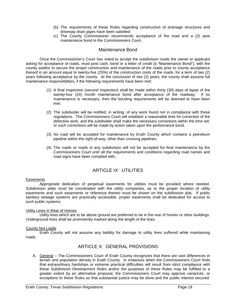- (b) The requirements of these Rules regarding construction of drainage structures and driveway drain pipes have been satisfied;
- (c) The County Commissioner recommends acceptance of the road and a (2) year maintenance bond to the Commissioners Court.

## Maintenance Bond

Once the Commissioner's Court has voted to accept the subdivision roads the owner or applicant asking for acceptance of roads, must post cash, bond or a letter of credit (a "Maintenance Bond"), with the county auditor to secure the proper construction and maintenance of the roads prior to county acceptance thereof in an amount equal to twenty-five (25%) of the construction costs of the roads, for a term of two (2) years following acceptance by the county. At the conclusion of two (2) years, the county shall assume full maintenance responsibilities, if the following requirements have been met:

- (1) A final inspection (second inspection) shall be made within thirty (30) days of lapse of the twenty-four (24) month maintenance bond after acceptance of the roadway. If no maintenance is necessary, then the bonding requirements will be deemed to have been met.
- (2) The subdivider will be notified, in writing, of any work found not in compliance with these regulations. The Commissioners Court will establish a reasonable time for correction of the defective work, and the subdivider shall make the necessary corrections within the time set, or such corrections will be made by action taken upon the performance bond.
- (3) No road will be accepted for maintenance by Erath County which contains a petroleum pipeline within the right-of-way, other than crossing pipelines.
- (4) The roads or roads in any subdivision will not be accepted for final maintenance by the Commissioners Court until all the requirements and conditions regarding road names and road signs have been complied with.

# ARTICLE IX: UTILITIES

#### **Easements**

Appropriate dedication of perpetual easements for utilities must be provided where needed. Subdivision plats must be coordinated with the utility companies, as to the proper location of utility easements and such easements or reference thereto must be shown on the subdivision plat. If public sanitary sewage systems are practically accessible, proper easements shall be dedicated for access to such public systems.

#### Utility Lines in Rear of Homes

Utility lines which are to be above ground are preferred to be in the rear of homes or other buildings. Underground lines shall be prominently marked along the length of the lines.

#### County Not Liable

Erath County will not assume any liability for damage to utility lines suffered while maintaining roads.

# ARTICLE X: GENERAL PROVISIONS

A. General – The Commissioners Court of Erath County recognizes that there are vast differences in terrain and population density in Erath County. In instances when the Commissioners Court finds that extraordinary hardships or extreme practical difficulties will result from strict compliance with these Subdivision Development Rules and/or the purposes of these Rules may be fulfilled to a greater extent by an alternative proposal, the Commissioners Court may approve variances, or exceptions to these Rules so that substantial justice may be done and the public interest secured.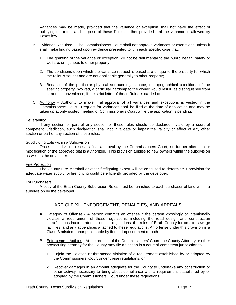Variances may be made, provided that the variance or exception shall not have the effect of nullifying the intent and purpose of these Rules, further provided that the variance is allowed by Texas law.

- B. Evidence Required The Commissioners Court shall not approve variances or exceptions unless it shall make finding based upon evidence presented to it in each specific case that:
	- 1. The granting of the variance or exception will not be detrimental to the public health, safety or welfare, or injurious to other property;
	- 2. The conditions upon which the variance request is based are unique to the property for which the relief is sought and are not applicable generally to other property;
	- 3. Because of the particular physical surroundings, shape, or topographical conditions of the specific property involved, a particular hardship to the owner would result, as distinguished from a mere inconvenience, if the strict letter of these Rules is carried out.
- C. Authority Authority to make final approval of all variances and exceptions is vested in the Commissioners Court. Request for variances shall be filed at the time of application and may be taken up at only posted meeting of Commissioners Court while the application is pending.

#### **Severability**

If any section or part of any section of these rules should be declared invalid by a court of competent jurisdiction, such declaration shall not invalidate or impair the validity or effect of any other section or part of any section of these rules.

#### Subdividing Lots within a Subdivision

Once a subdivision receives final approval by the Commissioners Court, no further alteration or modification of the approved plat is authorized. This provision applies to new owners within the subdivision as well as the developer.

#### Fire Protection

The County Fire Marshall or other firefighting expert will be consulted to determine if provision for adequate water supply for firefighting could be efficiently provided by the developer.

#### Lot Purchasers

A copy of the Erath County Subdivision Rules must be furnished to each purchaser of land within a subdivision by the developer.

# ARTICLE XI: ENFORCEMENT, PENALTIES, AND APPEALS

- A. Category of Offense A person commits an offense if the person knowingly or intentionally violates a requirement of these regulations, including the road design and construction specifications incorporated into these regulations, the rules of Erath County for on-site sewage facilities, and any appendices attached to these regulations. An offense under this provision is a Class B misdemeanor punishable by fine or imprisonment or both.
- B. Enforcement Actions At the request of the Commissioners' Court, the County Attorney or other prosecuting attorney for the County may file an action in a court of competent jurisdiction to:
	- 1. Enjoin the violation or threatened violation of a requirement established by or adopted by the Commissioners' Court under these regulations; or
	- 2. Recover damages in an amount adequate for the County to undertake any construction or other activity necessary to bring about compliance with a requirement established by or adopted by the Commissioners' Court under these regulations.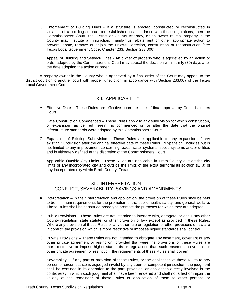- C. Enforcement of Building Lines If a structure is erected, constructed or reconstructed in violation of a building setback line established in accordance with these regulations, then the Commissioners' Court, the District or County Attorney, or an owner of real property in the County may institute an injunction, mandamus, abatement or other appropriate action to prevent, abate, remove or enjoin the unlawful erection, construction or reconstruction (see Texas Local Government Code, Chapter 233, Section 233.006).
- D. Appeal of Building and Setback Lines An owner of property who is aggrieved by an action or order adopted by the Commissioners' Court may appeal the decision within thirty (30) days after the date adopting the action or order.

A property owner in the County who is aggrieved by a final order of the Court may appeal to the district court or to another court with proper jurisdiction, in accordance with Section 233.007 of the Texas Local Government Code.

# XII: APPLICABILITY

- A. Effective Date These Rules are effective upon the date of final approval by Commissioners Court.
- B. Date Construction Commenced These Rules apply to any subdivision for which construction, or expansion (as defined herein), is commenced on or after the date that the original infrastructure standards were adopted by this Commissioners Court.
- C. Expansion of Existing Subdivision These Rules are applicable to any expansion of any existing Subdivision after the original effective date of these Rules. "Expansion" includes but is not limited to any improvement concerning roads, water systems, septic systems and/or utilities and is ultimately defined at the discretion of the Commissioners Court.
- D. Applicable Outside City Limits These Rules are applicable in Erath County outside the city limits of any incorporated city and outside the limits of the extra territorial jurisdiction (ETJ) of any incorporated city within Erath County, Texas.

# XII: INTERPRETATION – CONFLICT, SEVERABILITY, SAVINGS AND AMENDMENTS

- A. Interpretation In their interpretation and application, the provision of these Rules shall be held to be minimum requirements for the promotion of the public health, safety, and general welfare. These Rules shall be construed broadly to promote the purposes for which they are adopted.
- B. Public Provisions These Rules are not intended to interfere with, abrogate, or annul any other County regulation, state statute, or other provision of law except as provided in these Rules. Where any provision of these Rules or any other rule or regulation or other provisions of law are in conflict, the provision which is more restrictive or imposes higher standards shall control.
- C. Private Provisions These Rules are not intended to abrogate any easement, covenant or any other private agreement or restriction, provided that were the provisions of these Rules are more restrictive or impose higher standards or regulations than such easement, covenant, or other private agreement or restriction, the requirements of these Rules shall govern.
- D. Severability If any part or provision of these Rules, or the application of these Rules to any person or circumstance is adjudged invalid by any court of competent jurisdiction, the judgment shall be confined in its operation to the part, provision, or application directly involved in the controversy in which such judgment shall have been rendered and shall not affect or impair the validity of the remainder of these Rules or application of them to other persons or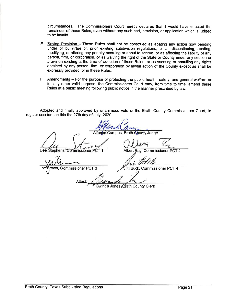circumstances. The Commissioners Court hereby declares that it would have enacted the remainder of these Rules, even without any such part, provision, or application which is judged to be invalid.

- E. Saving Provision These Rules shall not be construed as abating any action now pending under or by virtue of, prior existing subdivision regulations, or as discontinuing, abating, modifying, or altering any penalty accruing or about to accrue, or as affecting the liability of any person, firm, or corporation, or as waiving the right of the State or County under any section or provision existing at the time of adoption of these Rules, or as vacating or annulling any rights obtained by any person, firm, or corporation by lawful action of the County except as shall be expressly provided for in these Rules.
- F. Amendments For the purpose of protecting the public health, safety, and general welfare or for any other valid purpose, the Commissioners Court may, from time to time, amend these Rules at a public meeting following public notice in the manner prescribed by law.

Adopted and finally approved by unanimous vote of the Erath County Commissioners Court, in regular session, on this the 27th day of July, 2020.

Campos, Erath bunty Judge Dee Stephens, Commissioner F Albert B Commissioner Commissioner PCT 3 Buck, Commissioner PCT 4 **Attes** Gwinda Jones Erath County Clerk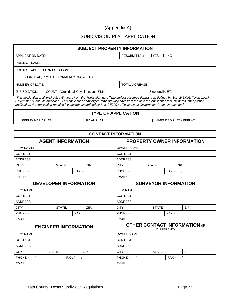# (Appendix A)

# SUBDIVISION PLAT APPLICATION

| <b>SUBJECT PROPERTY INFORMATION</b>                                                                                                                                                                                                                                                                                                                                                                                       |                                   |  |
|---------------------------------------------------------------------------------------------------------------------------------------------------------------------------------------------------------------------------------------------------------------------------------------------------------------------------------------------------------------------------------------------------------------------------|-----------------------------------|--|
| APPLICATION DATE*:                                                                                                                                                                                                                                                                                                                                                                                                        | RESUBMITTAL: $\Box$ YES $\Box$ NO |  |
| <b>PROJECT NAME:</b>                                                                                                                                                                                                                                                                                                                                                                                                      |                                   |  |
| <b>PROJECT ADDRESS OR LOCATION:</b>                                                                                                                                                                                                                                                                                                                                                                                       |                                   |  |
| IF RESUBMITTAL, PROJECT FORMERLY KNOWN AS:                                                                                                                                                                                                                                                                                                                                                                                |                                   |  |
| NUMBER OF LOTS:                                                                                                                                                                                                                                                                                                                                                                                                           | <b>TOTAL ACREAGE:</b>             |  |
| $JURISDICTION:$ $\Box$ COUNTY (Outside all City Limits and ETJs)                                                                                                                                                                                                                                                                                                                                                          | $\Box$ Stephenville ETJ           |  |
| *This application shall expire five (5) years from the Application date if the project becomes dormant, as defined by Sec. 245.005, Texas Local<br>Government Code, as amended. This application shall expire forty-five (45) days from the date the Application is submitted if, after proper<br>notification, the Application remains incomplete, as defined by Sec. 245.002e, Texas Local Government Code, as amended. |                                   |  |

| <b>PREHMINARY PLAT</b> |  |
|------------------------|--|

**TYPE OF APPLICATION**

 $\Box$  PRELIMINARY PLAT  $\Box$  FINAL PLAT  $\Box$  AMENDED PLAT / REPLAT

| <b>CONTACT INFORMATION</b> |                              |                                   |                                   |                    |      |        |            |                                      |  |
|----------------------------|------------------------------|-----------------------------------|-----------------------------------|--------------------|------|--------|------------|--------------------------------------|--|
| <b>AGENT INFORMATION</b>   |                              |                                   | <b>PROPERTY OWNER INFORMATION</b> |                    |      |        |            |                                      |  |
| FIRM NAME:                 |                              |                                   |                                   | <b>OWNER NAME:</b> |      |        |            |                                      |  |
| CONTACT:                   |                              |                                   |                                   | CONTACT:           |      |        |            |                                      |  |
| ADDRESS:                   |                              |                                   |                                   | ADDRESS:           |      |        |            |                                      |  |
| CITY:                      | STATE:                       |                                   | ZIP:                              | CITY:              |      | STATE: |            | ZIP:                                 |  |
| PHONE: (                   |                              | FAX: (                            |                                   | PHONE: (           |      |        | $FAX:$ (   |                                      |  |
| EMAIL:                     |                              |                                   |                                   | EMAIL:             |      |        |            |                                      |  |
|                            | <b>DEVELOPER INFORMATION</b> |                                   |                                   |                    |      |        |            | <b>SURVEYOR INFORMATION</b>          |  |
| FIRM NAME:                 |                              |                                   |                                   | FIRM NAME:         |      |        |            |                                      |  |
| CONTACT:                   |                              |                                   | CONTACT:                          |                    |      |        |            |                                      |  |
| ADDRESS:                   |                              |                                   |                                   | <b>ADDRESS:</b>    |      |        |            |                                      |  |
| ZIP:<br>CITY:<br>STATE:    |                              | CITY:<br>STATE:                   |                                   |                    | ZIP: |        |            |                                      |  |
| PHONE: (<br>$FAX:$ (       |                              | PHONE: (<br>$FAX:$ (<br>$\lambda$ |                                   |                    |      |        |            |                                      |  |
| EMAIL:                     |                              |                                   |                                   | EMAIL:             |      |        |            |                                      |  |
|                            | <b>ENGINEER INFORMATION</b>  |                                   |                                   |                    |      |        | DIFFERENT) | <b>OTHER CONTACT INFORMATION (IF</b> |  |
| FIRM NAME:                 |                              |                                   |                                   | <b>OWNER NAME:</b> |      |        |            |                                      |  |
| CONTACT:                   |                              | CONTACT:                          |                                   |                    |      |        |            |                                      |  |
| <b>ADDRESS:</b>            |                              | <b>ADDRESS:</b>                   |                                   |                    |      |        |            |                                      |  |
| CITY:                      | STATE:<br>ZIP:               |                                   |                                   | CITY:              |      | STATE: |            | ZIP:                                 |  |
| PHONE: (                   |                              | FAX: (                            |                                   | PHONE: (           |      |        | $FAX:$ (   |                                      |  |
| EMAIL:                     |                              |                                   |                                   | EMAIL:             |      |        |            |                                      |  |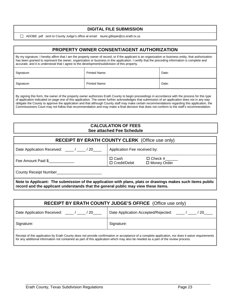#### **DIGITAL FILE SUBMISSION**

ADOBE .pdf sent to County Judge's office at email: laurie.gillispie@co.erath.tx.us

# **PROPERTY OWNER CONSENT/AGENT AUTHORIZATION**

By my signature, I hereby affirm that I am the property owner of record, or if the applicant is an organization or business entity, that authorization has been granted to represent the owner, organization or business in this application. I certify that the preceding information is complete and accurate, and it is understood that I agree to the development/subdivision of this property.

| Signature: | <b>Printed Name:</b> | Date: |
|------------|----------------------|-------|
| Signature: | <b>Printed Name:</b> | Date: |

By signing this form, the owner of the property owner authorizes Erath County to begin proceedings in accordance with the process for this type of application indicated on page one of this application. The owner further acknowledges that submission of an application does not in any way obligate the County to approve the application and that although County staff may make certain recommendations regarding this application, the Commissioners Court may not follow that recommendation and may make a final decision that does not conform to the staff's recommendation.

#### **CALCULATION OF FEES See attached Fee Schedule**

| <b>RECEIPT BY ERATH COUNTY CLERK</b> (Office use only)                                                                                                                                           |                                                                         |  |  |
|--------------------------------------------------------------------------------------------------------------------------------------------------------------------------------------------------|-------------------------------------------------------------------------|--|--|
| Date Application Received: ____/ ____/ 20____                                                                                                                                                    | Application Fee received by:                                            |  |  |
| Fee Amount Paid \$                                                                                                                                                                               | $\Box$ Cash<br>$\Box$ Check # $\Box$<br>□ Credit/Debit<br>□ Money Order |  |  |
| County Receipt Number County Receipt Number                                                                                                                                                      |                                                                         |  |  |
| Note to Applicant: The submission of the application with plans, plats or drawings makes such items public<br>record and the applicant understands that the general public may view these items. |                                                                         |  |  |

| <b>RECEIPT BY ERATH COUNTY JUDGE'S OFFICE</b> (Office use only)                                                                                                                                                                                                                         |                                                     |  |  |
|-----------------------------------------------------------------------------------------------------------------------------------------------------------------------------------------------------------------------------------------------------------------------------------------|-----------------------------------------------------|--|--|
|                                                                                                                                                                                                                                                                                         | Date Application Accepted/Rejected: ____/___<br>-20 |  |  |
| Signature:                                                                                                                                                                                                                                                                              | Signature:                                          |  |  |
| Receipt of this application by Erath County does not provide confirmation or acceptance of a complete application, nor does it waive requirements<br>for any additional information not contained as part of this application which may also be needed as a part of the review process. |                                                     |  |  |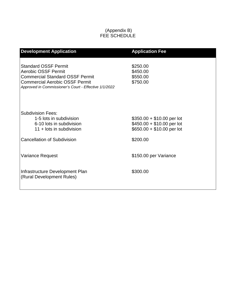# (Appendix B) FEE SCHEDULE

| <b>Development Application</b>                                                                                                                                                                        | <b>Application Fee</b>                                                                 |
|-------------------------------------------------------------------------------------------------------------------------------------------------------------------------------------------------------|----------------------------------------------------------------------------------------|
| <b>Standard OSSF Permit</b><br><b>Aerobic OSSF Permit</b><br><b>Commercial Standard OSSF Permit</b><br><b>Commercial Aerobic OSSF Permit</b><br>Approved in Commissioner's Court - Effective 1/1/2022 | \$250.00<br>\$450.00<br>\$550.00<br>\$750.00                                           |
| <b>Subdivision Fees:</b><br>1-5 lots in subdivision<br>6-10 lots in subdivision<br>11 + lots in subdivision                                                                                           | $$350.00 + $10.00$ per lot<br>\$450.00 + \$10.00 per lot<br>$$650.00 + $10.00$ per lot |
| <b>Cancellation of Subdivision</b>                                                                                                                                                                    | \$200.00                                                                               |
| Variance Request                                                                                                                                                                                      | \$150.00 per Variance                                                                  |
| Infrastructure Development Plan<br>(Rural Development Rules)                                                                                                                                          | \$300.00                                                                               |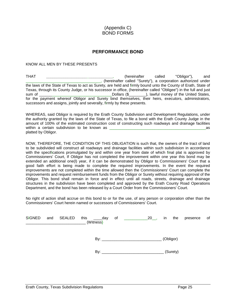# (Appendix C) BOND FORMS

# **PERFORMANCE BOND**

#### KNOW ALL MEN BY THESE PRESENTS

THAT *\_\_\_\_\_\_\_\_\_\_\_\_\_\_\_\_\_\_\_\_\_\_\_\_\_\_\_\_\_\_\_,* (hereinafter called "Obligor"), and \_\_\_\_\_\_\_\_\_\_\_\_\_\_\_\_\_\_\_\_\_\_\_\_\_\_\_\_\_\_\_\_\_\_\_, (hereinafter called "Surety"), a corporation authorized under the laws of the State of Texas to act as Surety, are held and firmly bound unto the County of Erath, State of Texas, through its County Judge, or his successor in office, (hereinafter called "Obligee") in the full and just sum of \_\_\_\_\_\_\_\_\_\_\_\_\_\_\_\_\_\_\_\_\_\_\_\_\_\_\_\_\_\_\_\_\_\_Dollars (\$\_\_\_\_\_\_\_\_), lawful money of the United States, for the payment whereof Obligor and Surety bind themselves, their heirs, executors, administrators, successors and assigns, jointly and severally, firmly by these presents.

WHEREAS, said Obligor is required by the Erath County Subdivision and Development Regulations, under the authority granted by the laws of the State of Texas, to file a bond with the Erath County Judge in the amount of 100% of the estimated construction cost of constructing such roadways and drainage facilities within a certain subdivision to be known as **within** a certain subdivision to be known as platted by Obligor.

NOW, THEREFORE, THE CONDITION OF THIS OBLIGATION is such that, the owners of the tract of land to be subdivided will construct all roadways and drainage facilities within such subdivision in accordance with the specifications promulgated by and within one year from date of which final plat is approved by Commissioners' Court, If Obligor has not completed the improvement within one year this bond may be extended an additional one(l) year, if it can be demonstrated by Obligor to Commissioners' Court that a good faith effort is being made to complete the required improvements. In the event the required improvements are not completed within the time allowed then the Commissioners' Court can complete the improvements and request reimbursement funds from the Obligor or Surety without requiring approval of the Obligor. This bond shall remain in force and in effect until all roads, streets, drainage and drainage structures in the subdivision have been completed and approved by the Erath County Road Operations Department, and the bond has been released by a Court Order from the Commissioners' Court.

No right of action shall accrue on this bond to or for the use, of any person or corporation other than the Commissioners' Court herein named or successors of Commissioners' Court.

| <b>SIGNED</b> | and | SEALED | this<br>_____day<br>(Witness) | of | $\frac{\phantom{0}}{\phantom{0}}$ 20 $\phantom{0}$ , | in | the       | presence | $\circ$ of |
|---------------|-----|--------|-------------------------------|----|------------------------------------------------------|----|-----------|----------|------------|
|               |     |        | By:                           |    |                                                      |    | (Obligor) |          |            |
|               |     |        | By:                           |    |                                                      |    | (Surety)  |          |            |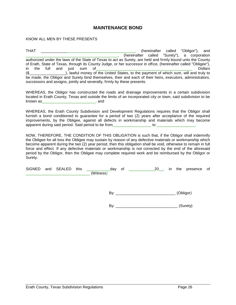# **MAINTENANCE BOND**

KNOW ALL MEN BY THESE PRESENTS

THAT \_\_\_\_\_\_\_\_\_\_\_\_\_\_\_\_\_\_\_\_\_\_\_\_\_\_\_\_\_\_\_\_\_\_\_\_\_\_\_\_\_\_\_\_, (hereinafter called "Obligor"), and \_\_\_\_\_\_\_\_\_\_\_\_\_\_\_\_\_\_\_\_\_\_\_\_\_\_\_\_\_\_\_\_\_\_\_\_\_\_\_\_\_\_\_, (hereinafter called "Surety"), a corporation authorized under the laws of the State of Texas to act as Surety, are held and firmly bound unto the County of Erath, State of Texas, through its County Judge, or her successor in office, (hereinafter called "Obligee"), in the full and just sum of **Example 2018** Dollars **Dollars** (\$\_\_\_\_\_\_\_\_\_\_\_\_\_\_\_\_\_), lawful money of the United States, to the payment of which sum, will and truly to be made, the Obligor and Surety bind themselves, their and each of their heirs, executors, administrators, successors and assigns, jointly and severally, firmly by these presents.

WHEREAS, the Obligor has constructed the roads and drainage improvements in a certain subdivision located in Erath County, Texas and outside the limits of an incorporated city or town, said subdivision to be  $k$ nown and

WHEREAS, the Erath County Subdivision and Development Regulations requires that the Obligor shall furnish a bond conditioned to guarantee for a period of two (2) years after acceptance of the required improvements, by the Obligee, against all defects in workmanship and materials which may become apparent during said period. Said period to be from \_\_\_\_\_\_\_\_\_\_\_\_\_\_\_\_\_\_\_\_\_\_ to \_

NOW, THEREFORE, THE CONDITION OF THIS OBLIGATION is such that, if the Obligor shall indemnify the Obligee for all loss the Obligee may sustain by reason of any defective materials or workmanship which become apparent during the two (2) year period, then this obligation shall be void, otherwise to remain in full force and effect. If any defective materials or workmanship is not corrected by the end of the aforesaid period by the Obligor, then the Obligee may complete required work and be reimbursed by the Obligor or Surety.

|  | SIGNED and SEALED | this | dav      | Οì | 20 | ın | the | presence | of |
|--|-------------------|------|----------|----|----|----|-----|----------|----|
|  |                   |      | Witnessi |    |    |    |     |          |    |

By: \_\_\_\_\_\_\_\_\_\_\_\_\_\_\_\_\_\_\_\_\_\_\_\_\_\_\_\_ (Obligor)

By: \_\_\_\_\_\_\_\_\_\_\_\_\_\_\_\_\_\_\_\_\_\_\_\_\_\_\_\_\_ (Surety)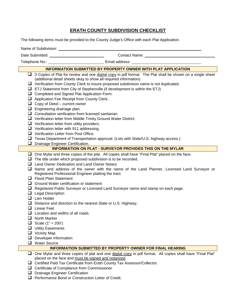# **ERATH COUNTY SUBDIVISION CHECKLIST**

The following items must be provided to the County Judge's Office with each Plat Application.

Name of Subdivision:

Date Submitted: Contact Name:

Telephone No.: Email address:

|    | <b>INFORMATION SUBMITTED BY PROPERTY OWNER WITH PLAT APPLICATION</b>                                                                                              |  |  |  |  |  |  |
|----|-------------------------------------------------------------------------------------------------------------------------------------------------------------------|--|--|--|--|--|--|
| ⊔  | 3 Copies of Plat for review and one digital copy in pdf format. The Plat shall be shown on a single sheet                                                         |  |  |  |  |  |  |
|    | (additional detail sheets okay to show all required information)                                                                                                  |  |  |  |  |  |  |
|    | $\Box$ Verification from County Clerk to insure proposed subdivision name is not duplicated.                                                                      |  |  |  |  |  |  |
|    | $\Box$ ETJ Statement from City of Stephenville (if development is within the ETJ)                                                                                 |  |  |  |  |  |  |
|    | Completed and Signed Plat Application Form.                                                                                                                       |  |  |  |  |  |  |
|    | Application Fee Receipt from County Clerk.                                                                                                                        |  |  |  |  |  |  |
|    | $\Box$ Copy of Deed – current owner                                                                                                                               |  |  |  |  |  |  |
|    | $\Box$ Engineering drainage plan.                                                                                                                                 |  |  |  |  |  |  |
|    | $\Box$ Consultation verification from licensed sanitarian.                                                                                                        |  |  |  |  |  |  |
|    | $\Box$ Verification letter from Middle Trinity Ground Water District.                                                                                             |  |  |  |  |  |  |
|    | $\Box$ Verification letter from utility providers.                                                                                                                |  |  |  |  |  |  |
|    | $\Box$ Verification letter with 911 addressing.                                                                                                                   |  |  |  |  |  |  |
|    | $\Box$ Verification Letter from Post Office.                                                                                                                      |  |  |  |  |  |  |
| u  | Texas Department of Transportation approval. (Lots with State/U.S. highway access.)                                                                               |  |  |  |  |  |  |
| u  | Drainage Engineer Certification.                                                                                                                                  |  |  |  |  |  |  |
|    | <b>INFORMATION ON PLAT - SURVEYOR PROVIDES THIS ON THE MYLAR</b>                                                                                                  |  |  |  |  |  |  |
|    | $\Box$ One Mylar and three copies of the plat. All copies shall have "Final Plat" placed on the face.                                                             |  |  |  |  |  |  |
|    | $\Box$ The title under which proposed subdivision is to be recorded.                                                                                              |  |  |  |  |  |  |
|    | $\Box$ Land Owner Dedication and Land Owner Notary                                                                                                                |  |  |  |  |  |  |
| u. | Name and address of the owner with the name of the Land Planner, Licensed Land Surveyor or                                                                        |  |  |  |  |  |  |
|    | Registered Professional Engineer platting the tract.                                                                                                              |  |  |  |  |  |  |
|    | $\Box$ Flood Plain Statement                                                                                                                                      |  |  |  |  |  |  |
|    | $\Box$ Ground Water certification or statement                                                                                                                    |  |  |  |  |  |  |
|    | $\Box$ Registered Public Surveyor or Licensed Land Surveyor name and stamp on each page.                                                                          |  |  |  |  |  |  |
|    | $\Box$ Legal Description                                                                                                                                          |  |  |  |  |  |  |
|    | $\Box$ Lien Holder                                                                                                                                                |  |  |  |  |  |  |
| ⊔  | Distance and direction to the nearest State or U.S. Highway.                                                                                                      |  |  |  |  |  |  |
|    | $\Box$ Linear Feet                                                                                                                                                |  |  |  |  |  |  |
|    | $\Box$ Location and widths of all roads.                                                                                                                          |  |  |  |  |  |  |
|    | $\Box$ North Marker                                                                                                                                               |  |  |  |  |  |  |
|    | <b>O</b> Scale $(1" = 200')$                                                                                                                                      |  |  |  |  |  |  |
|    | $\Box$ Utility Easements                                                                                                                                          |  |  |  |  |  |  |
| ப  | $\Box$ Vicinity Map                                                                                                                                               |  |  |  |  |  |  |
|    | Developer Information<br><b>Water Source</b>                                                                                                                      |  |  |  |  |  |  |
|    | <b>INFORMATION SUBMITTED BY PROPERTY OWNER FOR FINAL HEARING</b>                                                                                                  |  |  |  |  |  |  |
| ப  |                                                                                                                                                                   |  |  |  |  |  |  |
|    | One Mylar and three copies of plat and one digital copy in pdf format. All copies shall have "Final Plat"<br>placed on the face and must be signed and notarized. |  |  |  |  |  |  |
| ⊔  |                                                                                                                                                                   |  |  |  |  |  |  |
|    | Certified Paid Tax Certificate from Erath County Tax Assessor/Collector.                                                                                          |  |  |  |  |  |  |

- **D** Drainage Engineer Certification
- **Q** Performance Bond or Construction Letter of Credit.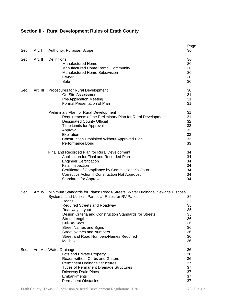# **Section II - Rural Development Rules of Erath County**

| Sec. II, Art. I  | Authority, Purpose, Scope                                                                                                                                                                                                                                                                                                                                                                                                          | Page<br>30                                                     |
|------------------|------------------------------------------------------------------------------------------------------------------------------------------------------------------------------------------------------------------------------------------------------------------------------------------------------------------------------------------------------------------------------------------------------------------------------------|----------------------------------------------------------------|
| Sec. II, Art. II | Definitions<br><b>Manufactured Home</b><br>Manufactured Home Rental Community<br><b>Manufactured Home Subdivision</b><br>Owner<br>Sale                                                                                                                                                                                                                                                                                             | 30<br>30<br>30<br>30<br>30<br>30                               |
|                  | Sec. II, Art. III Procedures for Rural Development<br><b>On-Site Assessment</b><br><b>Pre-Application Meeting</b><br>Formal Presentation of Plan                                                                                                                                                                                                                                                                                   | 30<br>31<br>31<br>31                                           |
|                  | Preliminary Plan for Rural Development<br>Requirements of the Preliminary Plan for Rural Development<br><b>Designated County Official</b><br>Time Limits for Approval<br>Approval<br>Expiration<br>Construction Prohibited Without Approved Plan<br>Performance Bond                                                                                                                                                               | 31<br>31<br>32<br>32<br>33<br>33<br>33<br>33                   |
|                  | Final and Recorded Plan for Rural Development<br>Application for Final and Recorded Plan<br><b>Engineer Certification</b><br>Final Inspection<br>Certificate of Compliance by Commissioner's Court<br><b>Corrective Action if Construction Not Approved</b><br><b>Standards for Approval</b>                                                                                                                                       | 34<br>34<br>34<br>34<br>34<br>34<br>34                         |
| Sec. II, Art. IV | Minimum Standards for Plans: Roads/Streets, Water Drainage, Sewage Disposal<br>Systems, and Utilities; Particular Rules for RV Parks<br>Roads<br><b>Required Streets and Roadway</b><br>Roadway Layout<br>Design Criteria and Construction Standards for Streets<br><b>Street Length</b><br>Cul-De-Sacs<br><b>Street Names and Signs</b><br><b>Street Names and Numbers</b><br>Street and Road Numbers/Names Required<br>Mailboxes | 35<br>35<br>35<br>35<br>35<br>36<br>36<br>36<br>36<br>36<br>36 |
| Sec. II, Art. V  | <b>Water Drainage</b><br>Lots and Private Property<br>Roads without Curbs and Gutters<br><b>Permanent Drainage Structures</b><br><b>Types of Permanent Drainage Structures</b><br>Driveway Drain Pipes<br>Embankments<br><b>Permanent Obstacles</b>                                                                                                                                                                                | 36<br>36<br>36<br>37<br>37<br>37<br>37<br>37                   |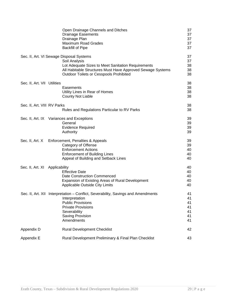|                                | Open Drainage Channels and Ditches<br><b>Drainage Easements</b><br>Drainage Plan<br><b>Maximum Road Grades</b><br><b>Backfill of Pipe</b>                                                                                       | 37<br>37<br>37<br>37<br>37             |
|--------------------------------|---------------------------------------------------------------------------------------------------------------------------------------------------------------------------------------------------------------------------------|----------------------------------------|
|                                | Sec. II, Art. VI Sewage Disposal Systems<br>Soil Analysis<br>Lot Adequate Sizes to Meet Sanitation Requirements<br>All Habitable Structures Must Have Approved Sewage Systems<br><b>Outdoor Toilets or Cesspools Prohibited</b> | 37<br>37<br>38<br>38<br>38             |
| Sec. II, Art. VII Utilities    | Easements<br>Utility Lines in Rear of Homes<br><b>County Not Liable</b>                                                                                                                                                         | 38<br>38<br>38<br>38                   |
| Sec. II, Art. VIII RV Parks    | Rules and Regulations Particular to RV Parks                                                                                                                                                                                    | 38<br>38                               |
|                                | Sec. II, Art. IX Variances and Exceptions<br>General<br><b>Evidence Required</b><br>Authority                                                                                                                                   | 39<br>39<br>39<br>39                   |
| Sec. II, Art. X                | Enforcement, Penalties & Appeals<br>Category of Offense<br><b>Enforcement Actions</b><br><b>Enforcement of Building Lines</b><br>Appeal of Building and Setback Lines                                                           | 39<br>39<br>40<br>40<br>40             |
| Sec. II, Art. XI Applicability | <b>Effective Date</b><br><b>Date Construction Commenced</b><br>Expansion of Existing Areas of Rural Development<br>Applicable Outside City Limits                                                                               | 40<br>40<br>40<br>40<br>40             |
|                                | Sec. II, Art. XII Interpretation – Conflict, Severability, Savings and Amendments<br>Interpretation<br><b>Public Provisions</b><br><b>Private Provisions</b><br>Severability<br>Saving Provision<br>Amendments                  | 41<br>41<br>41<br>41<br>41<br>41<br>41 |
| Appendix D                     | <b>Rural Development Checklist</b>                                                                                                                                                                                              | 42                                     |
| Appendix E                     | Rural Development Preliminary & Final Plan Checklist                                                                                                                                                                            | 43                                     |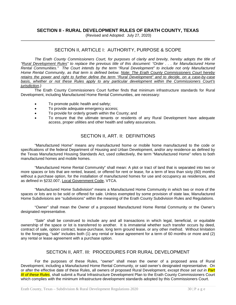## **SECTION II - RURAL DEVELOPMENT RULES OF ERATH COUNTY, TEXAS**

(Revised and Adopted: July 27, 2020)

# SECTION II, ARTICLE I: AUTHORITY, PURPOSE & SCOPE

*The Erath County Commissioners Court, for purposes of clarity and brevity, hereby adopts the title of "Rural Development Rules" to replace the previous title of this document: "Order . . . for Manufactured Home Rental Communities." The Court intends by the term "Rural Development" to include not only Manufactured Home Rental Community, as that term is defined below. Note: The Erath County Commissioners Court hereby retains the power and right to further define the term "Rural Development" and to decide, on a case-by-case basis, whether or not these Rules apply to any particular development within the Commissioners Court's jurisdiction.)*

The Erath County Commissioners Court further finds that minimum infrastructure standards for Rural Development, including Manufactured Home Rental Communities, are necessary:

- To promote public health and safety;
- To provide adequate emergency access;
- To provide for orderly growth within the County; and
- To ensure that the ultimate tenants or residents of any Rural Development have adequate access, proper utilities and other health and safety assurances.

# SECTION II, ART. II: DEFINITIONS

"Manufactured Home" means any manufactured home or mobile home manufactured to the code or specifications of the federal Department of Housing and Urban Development, and/or any residence as defined by the Texas Manufactured Housing Standards Act, used collectively, the term "Manufactured Home" refers to both manufactured homes and mobile homes.

"Manufactured Home Rental Community" shall mean: A plot or tract of land that is separated into two or more spaces or lots that are rented, leased, or offered for rent or lease, for a term of less than sixty (60) months without a purchase option, for the installation of manufactured homes for use and occupancy as residences, and as defined in §232.007, Local Government Code, VTCA.

"Manufactured Home Subdivision" means a Manufactured Home Community in which two or more of the spaces or lots are to be sold or offered for sale. Unless exempted by some provision of state law, Manufactured Home Subdivisions are "subdivisions" within the meaning of the Erath County Subdivision Rules and Regulations.

"Owner" shall mean the Owner of a proposed Manufactured Home Rental Community or the Owner's designated representative.

"Sale" shall be construed to include any and all transactions in which legal, beneficial, or equitable ownership of the space or lot is transferred to another. It is immaterial whether such transfer occurs by deed, contract of sale, option contract, lease-purchase, long term ground lease, or any other method. Without limitation to the foregoing, "sale" includes both (1) any rental or lease agreement for a term of 60 months or more and (2) any rental or lease agreement with a purchase option.

# SECTION II, ART. III: PROCEDURES FOR RURAL DEVELOPMENT

For the purposes of these Rules, "owner" shall mean the owner of a proposed area of Rural Development, including a Manufactured Home Rental Community, or said owner's designated representative. On or after the effective date of these Rules, all owners of proposed Rural Development, *except those set out in Part III of these Rules*, shall submit a Rural Infrastructure Development Plan to the Erath County Commissioners Court which complies with the minimum infrastructure development standards adopted by this Commissioners Court.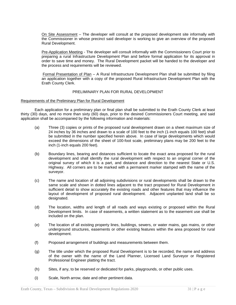On Site Assessment – The developer will consult at the proposed development site informally with the Commissioner in whose precinct said developer is working to give an overview of the proposed Rural Development.

Pre-Application Meeting - The developer will consult informally with the Commissioners Court prior to preparing a rural Infrastructure Development Plan and before formal application for its approval in order to save time and money. The Rural Development packet will be handed to the developer and the process and requirements will be reviewed.

Formal Presentation of Plan – A Rural Infrastructure Development Plan shall be submitted by filing an application together with a copy of the proposed Rural Infrastructure Development Plan with the Erath County Clerk.

#### PRELIMINARY PLAN FOR RURAL DEVELOPMENT

#### Requirements of the Preliminary Plan for Rural Development

Each application for a preliminary plan or final plan shall be submitted to the Erath County Clerk at least thirty (30) days, and no more than sixty (60) days, prior to the desired Commissioners Court meeting, and said application shall be accompanied by the following information and materials:

- (a) Three (3) copies or prints of the proposed rural development drawn on a sheet maximum size of 24 inches by 36 inches and drawn to a scale of 100 feet to the inch (1-inch equals 100 feet) shall be submitted in the number specified herein above. In case of large developments which would exceed the dimensions of the sheet of 100-foot scale, preliminary plans may be 200 feet to the inch (1-inch equals 200 feet).
- (b) Boundary lines, bearing and distances sufficient to locate the exact area proposed for the rural development and shall identify the rural development with respect to an original corner of the original survey of which it is a part, and distance and direction to the nearest State or U.S. Highway. All corners are to be marked with a permanent marker stamped with the name of the surveyor.
- (c) The name and location of all adjoining subdivisions or rural developments shall be drawn to the same scale and shown in dotted lines adjacent to the tract proposed for Rural Development in sufficient detail to show accurately the existing roads and other features that may influence the layout of development of proposed rural development. Adjacent unplanted land shall be so designated.
- (d) The location, widths and length of all roads and ways existing or proposed within the Rural Development limits. In case of easements, a written statement as to the easement use shall be included on the plan.
- (e) The location of all existing property lines, buildings, sewers, or water mains, gas mains, or other underground structures, easements or other existing features within the area proposed for rural development.
- (f) Proposed arrangement of buildings and measurements between them.
- (g) The title under which the proposed Rural Development is to be recorded, the name and address of the owner with the name of the Land Planner, Licensed Land Surveyor or Registered Professional Engineer platting the tract.
- (h) Sites, if any, to be reserved or dedicated for parks, playgrounds, or other public uses.
- (i) Scale, North arrow, date and other pertinent data.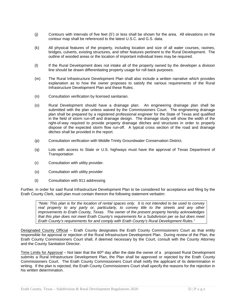- (j) Contours with intervals of five feet (5') or less shall be shown for the area. All elevations on the contour map shall be referenced to the latest U.S.C. and G.S. data.
- (k) All physical features of the property, including location and size of all water courses, ravines, bridges, culverts, existing structures, and other features pertinent to the Rural Development. The outline of wooded areas or the location of important individual trees may be required.
- (l) If the Rural Development does not intake all of the property owned by the developer a division line should be drawn differentiating property usage for roll back purposes.
- (m) The Rural Infrastructure Development Plan shall also include a written narrative which provides explanation as to how the owner proposes to satisfy the various requirements of the Rural Infrastructure Development Plan and these Rules.
- (n) Consultation verification by licensed sanitarian.
- (o) Rural Development should have a drainage plan. An engineering drainage plan shall be submitted with the plan unless waived by the Commissioners Court. The engineering drainage plan shall be prepared by a registered professional engineer for the State of Texas and qualified in the field of storm run-off and drainage design. The drainage study will show the width of the right-of-way required to provide property drainage ditches and structures in order to properly dispose of the expected storm flow run-off. A typical cross section of the road and drainage ditches shall be provided in the report.
- (p) Consultation verification with Middle Trinity Groundwater Conservation District.
- (q) Lots with access to State or U.S. highways must have the approval of Texas Department of **Transportation**
- (r) Consultation with utility provider.
- (s) Consultation with utility provider
- (t) Consultation with 911 addressing

Further, in order for said Rural Infrastructure Development Plan to be considered for acceptance and filing by the Erath County Clerk, said plan must contain thereon the following statement verbatim:

*"Note: This plan is for the location of rental spaces only. It is not intended to be used to convey*  real property to any party or, particularly, to convey title to the streets and any other *improvements to Erath County, Texas. The owner of the present property hereby acknowledges that this plan does not meet Erath County's requirements for a Subdivision per se but does meet Erath County's requirements for and comply with Erath County's Rural Development Rules."*

Designated County Official – Erath County designates the Erath County Commissioners Court as that entity responsible for approval or rejection of the Rural Infrastructure Development Plan. During review of the Plan, the Erath County Commissioners Court shall, if deemed necessary by the Court, consult with the County Attorney and the County Sanitation Director.

Time Limits for Approval – Not later that the  $60<sup>th</sup>$  day after the date the owner of a proposed Rural Development submits a Rural Infrastructure Development Plan, the Plan shall be approved or rejected by the Erath County Commissioners Court. The Erath County Commissioners Court shall notify the applicant of its determination in writing. If the plan is rejected, the Erath County Commissioners Court shall specify the reasons for the rejection in his written determination.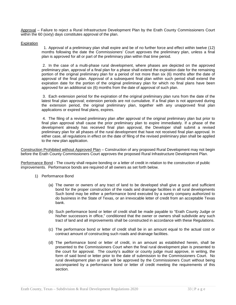Approval – Failure to reject a Rural Infrastructure Development Plan by the Erath County Commissioners Court within the 60 (sixty) days constitutes approval of the plan.

#### Expiration

 1. Approval of a preliminary plan shall expire and be of no further force and effect within twelve (12) months following the date the Commissioners' Court approves the preliminary plan, unless a final plan is approved for all or part of the preliminary plan within that time period.

2. In the case of a multi-phase rural development, where phases are depicted on the approved preliminary plan, approval of a final plan for a phase shall extend the expiration date for the remaining portion of the original preliminary plan for a period of not more than six (6) months after the date of approval of the final plan. Approval of a subsequent final plan within such period shall extend the expiration date for the portion of the original preliminary plan for which no final plans have been approved for an additional six (6) months from the date of approval of such plan.

3. Each extension period for the expiration of the original preliminary plan runs from the date of the latest final plan approval; extension periods are not cumulative. If a final plan is not approved during the extension period, the original preliminary plan, together with any unapproved final plan applications or expired final plans, expires.

4. The filing of a revised preliminary plan after approval of the original preliminary plan but prior to final plan approval shall cause the prior preliminary plan to expire immediately. If a phase of the development already has received final plan approval, the Developer shall submit a revised preliminary plan for all phases of the rural development that have not received final plan approval. In either case, all regulations in effect on the date of filing of the revised preliminary plan shall be applied to the new plan application.

Construction Prohibited without Approved Plan – Construction of any proposed Rural Development may not begin before the Erath County Commissioners Court approves the proposed Rural Infrastructure Development Plan.

Performance Bond - The county shall require bonding or a letter of credit in relation to the construction of public improvements. Performance bonds are required of all owners as set forth below.

- 1) Performance Bond
	- (a) The owner or owners of any tract of land to be developed shall give a good and sufficient bond for the proper construction of the roads and drainage facilities in all rural developments Such bond may be either a performance bond executed by a surety company authorized to do business in the State of Texas, or an irrevocable letter of credit from an acceptable Texas bank.
	- (b) Such performance bond or letter of credit shall be made payable to "Erath County Judge or his/her successors in office," conditioned that the owner or owners shall subdivide any such tract of land and all improvements shall be constructed in accordance with these Regulations.
	- (c) The performance bond or letter of credit shall be in an amount equal to the actual cost or contract amount of constructing such roads and drainage facilities.
	- (d) The performance bond or letter of credit, in an amount as established herein, shall be presented to the Commissioners Court when the final rural development plan is presented to the court for approval. The county's auditor or county judge must approve, in writing, the form of said bond or letter prior to the date of submission to the Commissioners Court. No rural development plan or plan will be approved by the Commissioners Court without being accompanied by a performance bond or letter of credit meeting the requirements of this section.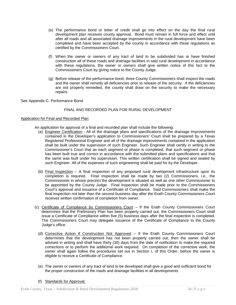- (e) The performance bond or letter of credit shall go into effect on the day the final rural development plan receives county approval. Bond must remain in full force and effect until after all roads and all associated drainage improvements in the rural development have been completed and have been accepted by the county in accordance with these regulations as certified by the Commissioners Court.
- (f) When the owner or owners of any tract of land to be subdivided has or have finished construction all of these roads and drainage facilities in said rural development in accordance with these regulations, the owner or owners shall give written notice of this fact to the Commissioners Court by giving notice to the County Judge.
- (g) Before release of the performance bond, three County Commissioners shall inspect the roads and the owner shall remedy all deficiencies prior to release of the security. If the deficiencies are not properly remedied, the county shall draw on the security to make the necessary repairs.

See Appendix C: Performance Bond.

#### FINAL AND RECORDED PLAN FOR RURAL DEVELOPMENT

#### Application for Final and Recorded Plan

An application for approval of a final and recorded plan shall include the following:

- (a) Engineer Certification All of the drainage plans and specifications of the drainage improvements contained in the Developer's application to Commissioners' Court shall be prepared by a Texas Registered Professional Engineer and all of the drainage improvements contained in the application shall be built under the supervision of such Engineer. Such Engineer shall certify in writing to the Commissioner's Court that as each segment or phase is completed, that such segment or phase has been built true and correct in accordance with the submitted plans and specifications and that the same was built under his supervision. This written certification shall be signed and sealed by such Engineer. All of the expenses of such engineering shall be paid for by the Developer.
- (b)  $Final Inspection A final inspection of any proposed rural development infrastructure upon its$ completion is required. Final inspection shall be made by two (2) Commissioners, i.e., the Commissioner in whose precinct the development is situated as well as one other Commissioner to be appointed by the County Judge. Final inspection shall be made prior to the Commissioners Court's approval and issuance of a Certificate of Compliance. Said Commissioners shall make the final inspection not later than the second business day after the Erath County Commissioners Court receives written confirmation of completion from owner.
- (c) Certificate of Compliance by Commissioners Court If the Erath County Commissioners Court determines that the Preliminary Plan has been properly carried out, the Commissioners Court shall issue a Certificate of Compliance within five (5) business days after the final inspection is completed. The Commissioners Court may delegate issuance of the Certificate of Compliance to the County Judge's office.
	- (d) Corrective Action if Construction Not Approved If the Erath County Commissioners Court determines that the development has not been properly carried out, then the owner shall be advised in writing and shall have thirty (30) days from the date of notification to make the required corrections or to perform the additional work required. On completion of the corrective work, the owner shall again follow the procedures set out in Section I, of this Order, before the owner is eligible to receive a Certificate of Compliance.
	- (e) The owner or owners of any tract of land to be developed shall give a good and sufficient bond for the proper construction of the roads and drainage facilities in all developments

#### (f) Standards for Approval.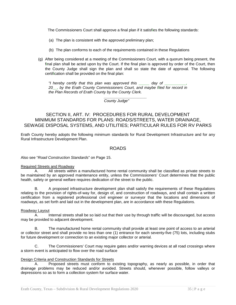The Commissioners Court shall approve a final plan if it satisfies the following standards:

- (a) The plan is consistent with the approved preliminary plan;
- (b) The plan conforms to each of the requirements contained in these Regulations
- (g) After being considered at a meeting of the Commissioners Court, with a quorum being present, the final plan shall be acted upon by the Court. If the final plan is approved by order of the Court, then the County Judge shall sign the plan and shall so state the date of approval. The following certification shall be provided on the final plan:

*"I hereby certify that this plan was approved this \_\_\_\_\_ day of \_\_\_\_\_\_\_\_\_\_, 20\_\_, by the Erath County Commissioners Court, and maybe filed for record in the Plan Records of Erath County by the County Clerk.*

> *\_\_\_\_\_\_\_\_\_\_\_\_\_\_\_\_\_\_\_\_ County Judge"*

# SECTION II, ART. IV: PROCEDURES FOR RURAL DEVELOPMENT MINIMUM STANDARDS FOR PLANS: ROADS/STREETS, WATER DRAINAGE, SEWAGE DISPOSAL SYSTEMS, AND UTILITIES; PARTICULAR RULES FOR RV PARKS

Erath County hereby adopts the following minimum standards for Rural Development Infrastructure and for any Rural Infrastructure Development Plan.

# ROADS

Also see "*Road Construction Standards*" on Page 15.

#### Required Streets and Roadway

A. All streets within a manufactured home rental community shall be classified as private streets to be maintained by an approved maintenance entity, unless the Commissioners' Court determines that the public health, safety or general welfare requires dedication of the street to the public.

B. A proposed infrastructure development plan shall satisfy the requirements of these Regulations relating to the provision of rights-of-way for, design of, and construction of roadways, and shall contain a written certification from a registered professional civil engineer or surveyor that the locations and dimensions of roadways, as set forth and laid out in the development plan, are in accordance with these Regulations.

#### Roadway Layout

A. Internal streets shall be so laid out that their use by through traffic will be discouraged, but access may be provided to adjacent development.

B. The manufactured home rental community shall provide at least one point of access to an arterial or collector street and shall provide no less than one (1) entrance for each seventy-five (75) lots, including stubs for future development or connection to an existing major collector or arterial.

C. The Commissioners' Court may require gates and/or warning devices at all road crossings where a storm event is anticipated to flow over the road surface

#### Design Criteria and Construction Standards for Streets

A. Proposed streets must conform to existing topography, as nearly as possible, in order that drainage problems may be reduced and/or avoided. Streets should, whenever possible, follow valleys or depressions so as to form a collection system for surface water.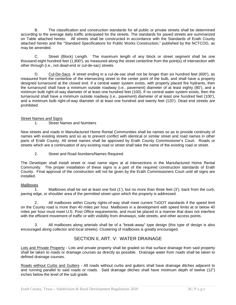B. The classification and construction standards for all public or private streets shall be determined according to the average daily traffic anticipated for the streets. The standards for paved streets are summarized on Table attached hereto. All streets shall be constructed in accordance with the Standards of Erath County attached hereto and the "Standard Specifications for Public Works Construction," published by the NCTCOG, as may be amended.

C. Street (Block) Length. The maximum length of any block or street segment shall be one thousand eight hundred feet (1,800'), as measured along the street centerline from the point(s) of intersection with other through (i.e., not dead-end or cul-de-sac) streets.

D. Cul-De-Sacs. A street ending in a cul-de-sac shall not be longer than six hundred feet (600'), as measured from the centerline of the intersecting street to the center point of the bulb, and shall have a properly designed turnaround at the closed end. If a central water system exists, with properly placed fire hydrants, then the turnaround shall have a minimum outside roadway (i.e., pavement) diameter of at least eighty (80'), and a minimum bulb right-of-way diameter of at least one hundred feet (100). If no central water system exists, then the turnaround shall have a minimum outside roadway (i.e., pavement) diameter of at least one hundred feet (100'), and a minimum bulb right-of-way diameter of at least one hundred and twenty feet (120'). Dead end streets are prohibited.

#### Street Names and Signs

#### 1. Street Names and Numbers

New streets and roads in Manufactured Home Rental Communities shall be names so as to provide continuity of names with existing streets and so as to prevent conflict with identical or similar street and road names in other parts of Erath County. All street names shall be approved by Erath County Commissioner's Court. Roads or streets which are a continuation of any existing road or street shall take the name of the existing road or street.

2. Street and Road Numbers/Names Required

The Developer shall install street or road name signs at al intersections in the Manufactured Home Rental Community. The proper installation of these signs is a part of the required construction standards of Erath County. Final approval of the construction will not be given by the Erath Commissioners Court until all signs are installed.

#### Mailboxes

 1. Mailboxes shall be set at least one foot (1'), but no more than three feet (3'), back from the curb, paving edge, or shoulder area of the permitted street upon which the property is addressed.

2. All mailboxes within County rights-of-way shall meet current TxDOT standards if the speed limit on the County road is more than 40 miles per hour. Mailboxes in a development with speed limits at or below 40 miles per hour must meet U.S. Post Office requirements, and must be placed in a manner that does not interfere with the efficient movement of traffic or with visibility from driveways, side streets, and other access points.

3. All mailboxes along arterials shall be of a "break-away" type design (this type of design is also encouraged along collector and local streets). Clustering of mailboxes is greatly encouraged.

# SECTION II, ART. V: WATER DRAINAGE

Lots and Private Property - Lots and private property shall be graded so that surface drainage from said property shall be taken to roads or drainage courses as directly as possible. Drainage water from roads shall be taken to defined drainage courses.

Roads without Curbs and Gutters - All roads without curbs and gutters shall have drainage ditches adjacent to and running parallel to said roads or roads. Said drainage ditches shall have minimum depth of twelve (12") inches below the level of the sub grade.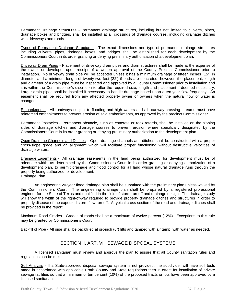Permanent Drainage Structures - Permanent drainage structures, including but not limited to culverts, pipes, drainage boxes and bridges, shall be installed at all crossings of drainage courses, including drainage ditches with driveways and roads.

Types of Permanent Drainage Structures - The exact dimensions and type of permanent drainage structures including culverts, pipes, drainage boxes, and bridges shall be established for each development by the Commissioners Court in its order granting or denying preliminary authorization of a development plan.

Driveway Drain Pipes - Placement of driveway drain pipes and drain structures shall be made at the expense of the owner or developer upon receipt of a written approval of the County Precinct Commissioner prior to installation. No driveway drain pipe will be accepted unless it has a minimum drainage of fifteen inches (15") in diameter and a minimum length of twenty-two feet (22') if ends are concreted, however, the placement, length and diameter of a drain pipe must be inspected and approved by a County Commissioner prior to installation and it is within the Commissioner's discretion to alter the required size, length and placement if deemed necessary. Larger drain pipes shall be installed if necessary to handle drainage based upon a ten-year flow frequency. An easement shall be required from any affected property owner or owners when the natural flow of water is changed.

Embankments - All roadways subject to flooding and high waters and all roadway crossing streams must have reinforced embankments to prevent erosion of said embankments, as approved by the precinct Commissioner.

Permanent Obstacles - Permanent obstacle, such as concrete or rock retards, shall be installed on the sloping sides of drainage ditches and drainage courses to prevent erosion where specifically designated by the Commissioners Court in its order granting or denying preliminary authorization to the development plan.

Open Drainage Channels and Ditches - Open drainage channels and ditches shall be constructed with a proper cross-slope grade and an alignment which will facilitate proper functioning without destructive velocities of drainage waters.

Drainage Easements - All drainage easements in the land being authorized for development must be of adequate width, as determined by the Commissioners Court in its order granting or denying authorization of a development plan, to permit drainage and flood control for all land whose natural drainage runs through the property being authorized for development. Drainage Plan

An engineering 20-year flood drainage plan shall be submitted with the preliminary plan unless waived by the Commissioners Court. The engineering drainage plan shall be prepared by a registered professional engineer for the State of Texas and qualified in the field of storm run-off and drainage design. The drainage study will show the width of the right-of-way required to provide property drainage ditches and structures in order to properly dispose of the expected storm flow run-off. A typical cross section of the road and drainage ditches shall be provided in the report.

Maximum Road Grades - Grades of roads shall be a maximum of twelve percent (12%). Exceptions to this rule may be granted by Commissioner's Court.

Backfill of Pipe - All pipe shall be backfilled at six-inch (6") lifts and tamped with air tamp, with water as needed.

# SECTION II, ART. VI: SEWAGE DISPOSAL SYSTEMS

A licensed sanitarian must review and approve the plan to assure that all County sanitation rules and regulations can be met.

Soil Analysis - If a State-approved disposal sewage system is not provided, the subdivider will have soil tests made in accordance with applicable Erath County and State regulations then in effect for installation of private sewage facilities so that a minimum of ten percent (10%) of the proposed tracts or lots have been approved by a licensed sanitarian.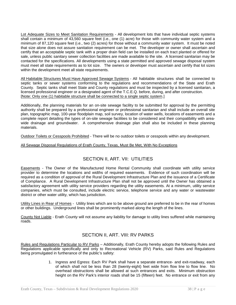Lot Adequate Sizes to Meet Sanitation Requirements - All development lots that have individual septic systems shall contain a minimum of 43,560 square feet (i.e., one (1) acre) for those with community water system and a minimum of 87,120 square feet (i.e., two (2) acres) for those without a community water system. It must be noted that size alone does not assure sanitation requirement can be met. The developer or owner shall ascertain and certify that an acceptable septic tank with a proper drain field can be installed on each tract planted or offered for sale, unless public sanitary sewer collection facilities are made available to the site. A licensed sanitarian may be contacted for the specifications. All developments using a state permitted and approved sewage disposal system must meet all state requirements as to lot size. The owners or developer must ascertain and certify that lot sizes within the development meet all state requirements.

All Habitable Structures Must Have Approved Sewage Systems - All habitable structures shall be connected to septic tanks or sewer systems conforming to the regulations and recommendations of the State and Erath County. Septic tanks shall meet State and County regulations and must be inspected by a licensed sanitarian, a licensed professional engineer or a designated agent of the T.C.E.Q. before, during, and after construction. [Note: Only one (1) habitable structure shall be connected to a single septic system.]

Additionally, the planning materials for an on-site sewage facility to be submitted for approval by the permitting authority shall be prepared by a professional engineer or professional sanitarian and shall include an overall site plan, topographic map, 100-year floodplain map, soil survey, location of water wells, locations of easements and a complete report detailing the types of on-site sewage facilities to be considered and their compatibility with areawide drainage and groundwater. A comprehensive drainage plan shall also be included in these planning materials.

Outdoor Toilets or Cesspools Prohibited - There will be no outdoor toilets or cesspools within any development.

#### All Sewage Disposal Regulations of Erath County, Texas, Must Be Met, With No Exceptions

# SECTION II, ART. VII: UTILITIES

Easements - The Owner of the Manufactured Home Rental Community shall coordinate with utility service provider to determine the locations and widths of required easements. Evidence of such coordination will be required as a condition of approval of the Rural Development Infrastructure Plan and the issuance of a Certificate of Compliance. A Rural Development Infrastructure Plan shall not be approved until the Owner has obtained a satisfactory agreement with utility service providers regarding the utility easements. At a minimum, utility service companies, which must be consulted, include electric service, telephone service and any water or wastewater district or other water utility, which has jurisdiction.

Utility Lines in Rear of Homes - Utility lines which are to be above ground are preferred to be in the rear of homes or other buildings. Underground lines shall be prominently marked along the length of the lines.

County Not Liable - Erath County will not assume any liability for damage to utility lines suffered while maintaining roads.

# SECTION II, ART. VIII: RV PARKS

Rules and Regulations Particular to RV Parks - Additionally, Erath County hereby adopts the following Rules and Regulations applicable specifically and only to Recreational Vehicle (RV) Parks, said Rules and Regulations being promulgated in furtherance of the public's safety:

> 1. Ingress and Egress: Each RV Park shall have a separate entrance- and exit-roadway, each of which shall not be less than 28 (twenty-eight) feet wide from flow line to flow line. No overhead obstructions shall be allowed at such entrances and exits. Minimum obstruction height on the RV Park's interior roads shall be 15 (fifteen) feet. No entrance or exit from any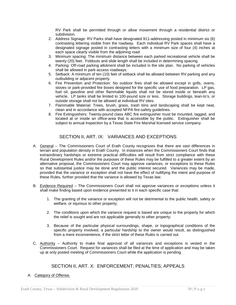RV Park shall be permitted through or allow movement through a residential district or subdivision.

- 2. Address Signage: RV Parks shall have designated 911-addressing posted in minimum six (6) contrasting lettering visible from the roadway. Each individual RV Park spaces shall have a designated signage posted in contrasting letters with a minimum size of four (4) inches at each space clearly visible from the adjoining road.
- 3. Minimum spacing: The minimum distance between each parked recreational vehicle shall be twenty (20) feet. Foldouts and slide length shall be included in determining spacing.
- 4. Parking: Off-road parking allotment shall be included in the site plan. No parking of vehicles shall be allowed in park-access roadways.
- 5. Setback: A minimum of ten (10) feet of setback shall be allowed between RV parking and any outbuilding or adjacent property.
- 6. Fire Prevention and Protection: No outdoor fires shall be allowed except in grills, ovens, stoves or park-provided fire boxes designed for the specific use of food preparation. LP gas, fuel oil, gasoline and other flammable liquids shall not be stored inside or beneath any vehicle. LP tanks shall be limited to 100-pound size or less. Storage buildings, lean-to's, or outside storage shall not be allowed at individual RV sites.
- 7. Flammable Material: Trees, brush, grass, trash bins and landscaping shall be kept neat, clean and in accordance with accepted NFPA fire-safety guidelines.
- 8. Fire Extinguishers: Twenty-pound class ABC fire extinguisher must be mounted, tagged, and located at or inside an office-area that is accessible by the public. Extinguisher shall be subject to annual inspection by a Texas State Fire Marshal licensed service company.

# SECTION II, ART. IX: VARIANCES AND EXCEPTIONS

- A. General The Commissioners Court of Erath County recognizes that there are vast differences in terrain and population density in Erath County. In instances when the Commissioners Court finds that extraordinary hardships or extreme practical difficulties will result from strict compliance with these Rural Development Rules and/or the purposes of these Rules may be fulfilled to a greater extent by an alternative proposal, the Commissioners Court may approve variances, or exceptions to these Rules so that substantial justice may be done and the public interest secured. Variances may be made, provided that the variance or exception shall not have the effect of nullifying the intent and purpose of these Rules, further provided that the variance is allowed by Texas law.
- B. Evidence Required The Commissioners Court shall not approve variances or exceptions unless it shall make finding based upon evidence presented to it in each specific case that:
	- 1. The granting of the variance or exception will not be detrimental to the public health, safety or welfare, or injurious to other property;
	- 2. The conditions upon which the variance request is based are unique to the property for which the relief is sought and are not applicable generally to other property;
	- 3. Because of the particular physical surroundings, shape, or topographical conditions of the specific property involved, a particular hardship to the owner would result, as distinguished from a mere inconvenience, if the strict letter of these Rules is carried out.
- C. Authority Authority to make final approval of all variances and exceptions is vested in the Commissioners Court. Request for variances shall be filed at the time of application and may be taken up at only posted meeting of Commissioners Court while the application is pending.

# SECTION II, ART. X: ENFORCEMENT; PENALTIES; APPEALS

# A. Category of Offense.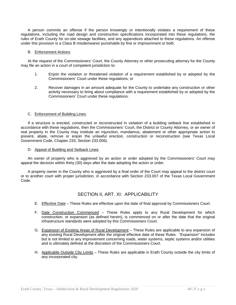A person commits an offense if the person knowingly or intentionally violates a requirement of these regulations, including the road design and construction specifications incorporated into these regulations, the rules of Erath County for on-site sewage facilities, and any appendices attached to these regulations. An offense under this provision is a Class B misdemeanor punishable by fine or imprisonment or both.

#### B. Enforcement Actions.

At the request of the Commissioners' Court, the County Attorney or other prosecuting attorney for the County may file an action in a court of competent jurisdiction to:

- 1. Enjoin the violation or threatened violation of a requirement established by or adopted by the Commissioners' Court under these regulations; or
- 2. Recover damages in an amount adequate for the County to undertake any construction or other activity necessary to bring about compliance with a requirement established by or adopted by the Commissioners' Court under these regulations.

#### C. Enforcement of Building Lines.

If a structure is erected, constructed or reconstructed in violation of a building setback line established in accordance with these regulations, then the Commissioners' Court, the District or County Attorney, or an owner of real property in the County may institute an injunction, mandamus, abatement or other appropriate action to prevent, abate, remove or enjoin the unlawful erection, construction or reconstruction (see Texas Local Government Code, Chapter 233, Section 233.006).

D. Appeal of Building and Setback Lines.

An owner of property who is aggrieved by an action or order adopted by the Commissioners' Court may appeal the decision within thirty (30) days after the date adopting the action or order.

A property owner in the County who is aggrieved by a final order of the Court may appeal to the district court or to another court with proper jurisdiction, in accordance with Section 233.007 of the Texas Local Government Code.

# SECTION II, ART. XI: APPLICABILITY

- E. Effective Date These Rules are effective upon the date of final approval by Commissioners Court.
- F. Date Construction Commenced These Rules apply to any Rural Development for which construction, or expansion (as defined herein), is commenced on or after the date that the original infrastructure standards were adopted by this Commissioners Court.
- G. Expansion of Existing Areas of Rural Development These Rules are applicable to any expansion of any existing Rural Development after the original effective date of these Rules. "Expansion" includes but is not limited to any improvement concerning roads, water systems, septic systems and/or utilities and is ultimately defined at the discretion of the Commissioners Court.
- H. Applicable Outside City Limits These Rules are applicable in Erath County outside the city limits of any incorporated city.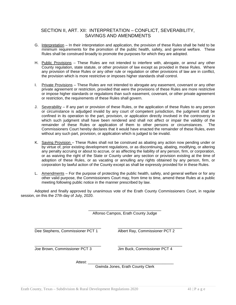# SECTION II, ART. XII: INTERPRETATION – CONFLICT, SEVERABILITY, SAVINGS AND AMENDMENTS

- G. Interpretation In their interpretation and application, the provision of these Rules shall be held to be minimum requirements for the promotion of the public health, safety, and general welfare. These Rules shall be construed broadly to promote the purposes for which they are adopted.
- H. Public Provisions These Rules are not intended to interfere with, abrogate, or annul any other County regulation, state statute, or other provision of law except as provided in these Rules. Where any provision of these Rules or any other rule or regulation or other provisions of law are in conflict, the provision which is more restrictive or imposes higher standards shall control.
- I. Private Provisions These Rules are not intended to abrogate any easement, covenant or any other private agreement or restriction, provided that were the provisions of these Rules are more restrictive or impose higher standards or regulations than such easement, covenant, or other private agreement or restriction, the requirements of these Rules shall govern.
- J. Severability If any part or provision of these Rules, or the application of these Rules to any person or circumstance is adjudged invalid by any court of competent jurisdiction, the judgment shall be confined in its operation to the part, provision, or application directly involved in the controversy in which such judgment shall have been rendered and shall not affect or impair the validity of the<br>remainder of these Rules or application of them to other persons or circumstances. The remainder of these Rules or application of them to other persons or circumstances. Commissioners Court hereby declares that it would have enacted the remainder of these Rules, even without any such part, provision, or application which is judged to be invalid.
- K. Saving Provision These Rules shall not be construed as abating any action now pending under or by virtue of, prior existing development regulations, or as discontinuing, abating, modifying, or altering any penalty accruing or about to accrue, or as affecting the liability of any person, firm, or corporation, or as waiving the right of the State or County under any section or provision existing at the time of adoption of these Rules, or as vacating or annulling any rights obtained by any person, firm, or corporation by lawful action of the County except as shall be expressly provided for in these Rules.
- L. Amendments For the purpose of protecting the public health, safety, and general welfare or for any other valid purpose, the Commissioners Court may, from time to time, amend these Rules at a public meeting following public notice in the manner prescribed by law.

Adopted and finally approved by unanimous vote of the Erath County Commissioners Court, in regular session, on this the 27th day of July, 2020.

|                                  | Alfonso Campos, Erath County Judge |  |  |  |
|----------------------------------|------------------------------------|--|--|--|
| Dee Stephens, Commissioner PCT 1 | Albert Ray, Commissioner PCT 2     |  |  |  |
| Joe Brown, Commissioner PCT 3    | Jim Buck, Commissioner PCT 4       |  |  |  |
| Attest:                          | Gwinda Jones, Erath County Clerk   |  |  |  |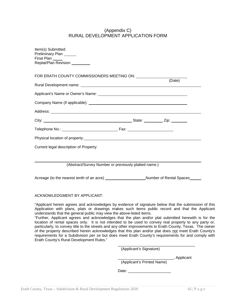# (Appendix C) RURAL DEVELOPMENT APPLICATION FORM

| Item(s) Submitted:<br>Preliminary Plan ______<br>Final Plan ____<br>Replat/Plan Revision ________                                                                                                                                                                                                                                                                                                                                                                                                                                                                                                                                                                                                                                                                                                                                                                         |                         |        |  |
|---------------------------------------------------------------------------------------------------------------------------------------------------------------------------------------------------------------------------------------------------------------------------------------------------------------------------------------------------------------------------------------------------------------------------------------------------------------------------------------------------------------------------------------------------------------------------------------------------------------------------------------------------------------------------------------------------------------------------------------------------------------------------------------------------------------------------------------------------------------------------|-------------------------|--------|--|
| FOR ERATH COUNTY COMMISSIONERS MEETING ON: UNITED ACCOUNTS                                                                                                                                                                                                                                                                                                                                                                                                                                                                                                                                                                                                                                                                                                                                                                                                                |                         | (Date) |  |
|                                                                                                                                                                                                                                                                                                                                                                                                                                                                                                                                                                                                                                                                                                                                                                                                                                                                           |                         |        |  |
|                                                                                                                                                                                                                                                                                                                                                                                                                                                                                                                                                                                                                                                                                                                                                                                                                                                                           |                         |        |  |
|                                                                                                                                                                                                                                                                                                                                                                                                                                                                                                                                                                                                                                                                                                                                                                                                                                                                           |                         |        |  |
|                                                                                                                                                                                                                                                                                                                                                                                                                                                                                                                                                                                                                                                                                                                                                                                                                                                                           |                         |        |  |
|                                                                                                                                                                                                                                                                                                                                                                                                                                                                                                                                                                                                                                                                                                                                                                                                                                                                           |                         |        |  |
|                                                                                                                                                                                                                                                                                                                                                                                                                                                                                                                                                                                                                                                                                                                                                                                                                                                                           |                         |        |  |
|                                                                                                                                                                                                                                                                                                                                                                                                                                                                                                                                                                                                                                                                                                                                                                                                                                                                           |                         |        |  |
| Current legal description of Property:<br>(Abstract/Survey Number or previously platted name.)                                                                                                                                                                                                                                                                                                                                                                                                                                                                                                                                                                                                                                                                                                                                                                            |                         |        |  |
| Acreage (to the nearest tenth of an acre) _______________________Number of Rental Spaces_____                                                                                                                                                                                                                                                                                                                                                                                                                                                                                                                                                                                                                                                                                                                                                                             |                         |        |  |
| <b>ACKNOWLEDGMENT BY APPLICANT:</b>                                                                                                                                                                                                                                                                                                                                                                                                                                                                                                                                                                                                                                                                                                                                                                                                                                       |                         |        |  |
| "Applicant herein agrees and acknowledges by evidence of signature below that the submission of this<br>Application with plans, plats or drawings makes such items public record and that the Applicant<br>understands that the general public may view the above-listed items.<br>"Further, Applicant agrees and acknowledges that the plan and/or plat submitted herewith is for the<br>location of rental spaces only. It is not intended to be used to convey real property to any party or,<br>particularly, to convey title to the streets and any other improvements to Erath County, Texas. The owner<br>of the property described herein acknowledges that this plan and/or plat does not meet Erath County's<br>requirements for a Subdivision per se but does meet Erath County's requirements for and comply with<br>Erath County's Rural Development Rules." |                         |        |  |
|                                                                                                                                                                                                                                                                                                                                                                                                                                                                                                                                                                                                                                                                                                                                                                                                                                                                           | (Applicant's Signature) |        |  |

\_\_\_\_\_\_\_\_\_\_\_\_\_\_\_\_\_\_\_\_\_\_\_\_\_\_, Applicant

(Applicant's Printed Name)

Date: \_\_\_\_\_\_\_\_\_\_\_\_\_\_\_\_\_\_\_\_